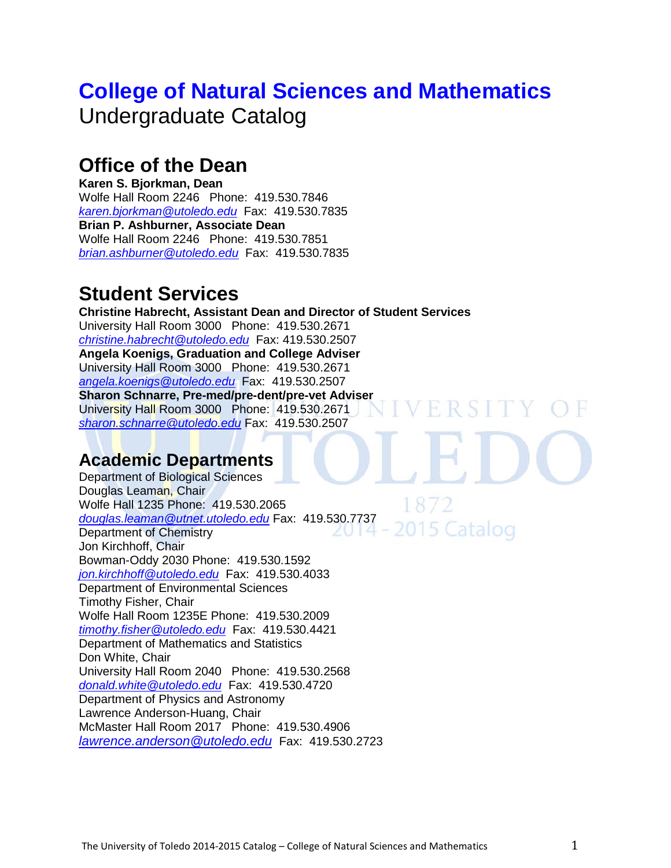# **[College of Natural Sciences and Mathematics](http://www.utoledo.edu/nsm/)** Undergraduate Catalog

## **Office of the Dean**

**Karen S. Bjorkman, Dean**  Wolfe Hall Room 2246 Phone: 419.530.7846 *[karen.bjorkman@utoledo.edu](mailto:karen.bjorkman@utoledo.edu)* Fax: 419.530.7835 **Brian P. Ashburner, Associate Dean**  Wolfe Hall Room 2246 Phone: 419.530.7851 *[brian.ashburner@utoledo.edu](mailto:brian.ashburner@utoledo.edu)* Fax: 419.530.7835

# **Student Services**

**Christine Habrecht, Assistant Dean and Director of Student Services**  University Hall Room 3000 Phone: 419.530.2671 *[christine.habrecht@utoledo.edu](mailto:christine.habrecht@utoledo.edu)* Fax: 419.530.2507 **Angela Koenigs, Graduation and College Adviser**  University Hall Room 3000 Phone: 419.530.2671 *[angela.koenigs@utoledo.edu](mailto:angela.koenigs@utoledo.edu)* Fax: 419.530.2507 **Sharon Schnarre, Pre-med/pre-dent/pre-vet Adviser**  University Hall Room 3000 Phone: 419.530.2671 *[sharon.schnarre@utoledo.edu](mailto:sharon.schnarre@utoledo.edu)* Fax: 419.530.2507

### **Academic Departments**

Department of Biological Sciences Douglas Leaman, Chair Wolfe Hall 1235 Phone: 419.530.2065 *[douglas.leaman@utnet.utoledo.edu](mailto:douglas.leaman@utnet.utoledo.edu)* Fax: 419.530.7737 2015 Catalog Department of Chemistry ZU 14 Jon Kirchhoff, Chair Bowman-Oddy 2030 Phone: 419.530.1592 *[jon.kirchhoff@utoledo.edu](mailto:jon.kirchhoff@utoledo.edu)* Fax: 419.530.4033 Department of Environmental Sciences Timothy Fisher, Chair Wolfe Hall Room 1235E Phone: 419.530.2009 *[timothy.fisher@utoledo.edu](mailto:timothy.fisher@utoledo.edu)* Fax: 419.530.4421 Department of Mathematics and Statistics Don White, Chair University Hall Room 2040 Phone: 419.530.2568 *[donald.white@utoledo.edu](mailto:donald.white@utoledo.edu)* Fax: 419.530.4720 Department of Physics and Astronomy Lawrence Anderson-Huang, Chair McMaster Hall Room 2017 Phone: 419.530.4906 *[lawrence.anderson@utoledo.edu](mailto:lawrence.anderson@utoledo.edu)* Fax: 419.530.2723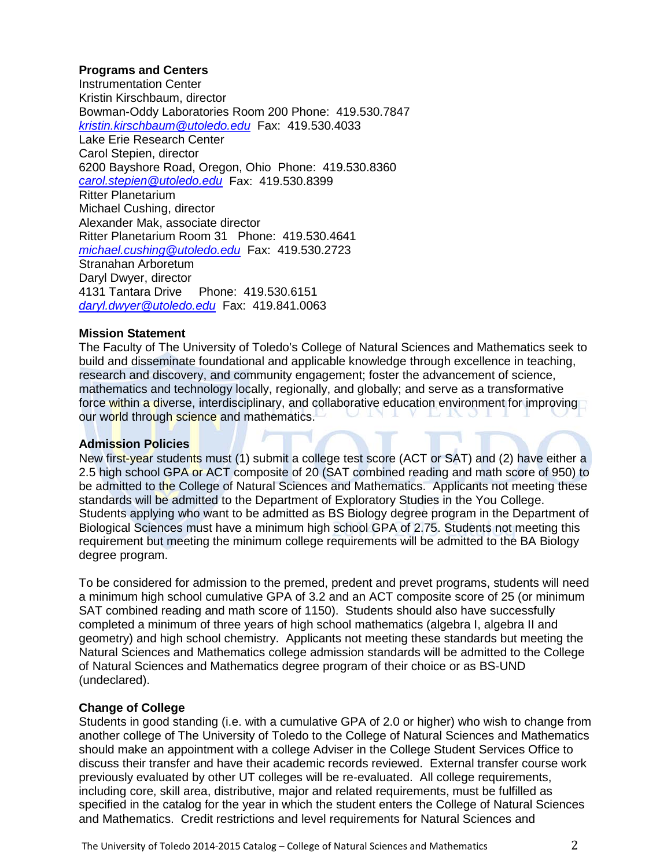#### **Programs and Centers**

Instrumentation Center Kristin Kirschbaum, director Bowman-Oddy Laboratories Room 200 Phone: 419.530.7847 *[kristin.kirschbaum@utoledo.edu](mailto:kristin.kirschbaum@utoledo.edu)* Fax: 419.530.4033 Lake Erie Research Center Carol Stepien, director 6200 Bayshore Road, Oregon, Ohio Phone: 419.530.8360 *[carol.stepien@utoledo.edu](mailto:carol.stepien@utoledo.edu)* Fax: 419.530.8399 Ritter Planetarium Michael Cushing, director Alexander Mak, associate director Ritter Planetarium Room 31 Phone: 419.530.4641 *[michael.cushing@utoledo.edu](mailto:michael.cushing@utoledo.edu)* Fax: 419.530.2723 Stranahan Arboretum Daryl Dwyer, director 4131 Tantara Drive Phone: 419.530.6151 *[daryl.dwyer@utoledo.edu](mailto:daryl.dwyer@utoledo.edu)* Fax: 419.841.0063

#### **Mission Statement**

The Faculty of The University of Toledo's College of Natural Sciences and Mathematics seek to build and disseminate foundational and applicable knowledge through excellence in teaching, research and discovery, and community engagement; foster the advancement of science, mathematics and technology locally, regionally, and globally; and serve as a transformative force within a diverse, interdisciplinary, and collaborative education environment for improving our world through science and mathematics.

#### **Admission Policies**

New first-year students must (1) submit a college test score (ACT or SAT) and (2) have either a 2.5 high school GPA or ACT composite of 20 (SAT combined reading and math score of 950) to be admitted to the College of Natural Sciences and Mathematics. Applicants not meeting these standards will be admitted to the Department of Exploratory Studies in the You College. Students applying who want to be admitted as BS Biology degree program in the Department of Biological Sciences must have a minimum high school GPA of 2.75. Students not meeting this requirement but meeting the minimum college requirements will be admitted to the BA Biology degree program.

To be considered for admission to the premed, predent and prevet programs, students will need a minimum high school cumulative GPA of 3.2 and an ACT composite score of 25 (or minimum SAT combined reading and math score of 1150). Students should also have successfully completed a minimum of three years of high school mathematics (algebra I, algebra II and geometry) and high school chemistry. Applicants not meeting these standards but meeting the Natural Sciences and Mathematics college admission standards will be admitted to the College of Natural Sciences and Mathematics degree program of their choice or as BS-UND (undeclared).

#### **Change of College**

Students in good standing (i.e. with a cumulative GPA of 2.0 or higher) who wish to change from another college of The University of Toledo to the College of Natural Sciences and Mathematics should make an appointment with a college Adviser in the College Student Services Office to discuss their transfer and have their academic records reviewed. External transfer course work previously evaluated by other UT colleges will be re-evaluated. All college requirements, including core, skill area, distributive, major and related requirements, must be fulfilled as specified in the catalog for the year in which the student enters the College of Natural Sciences and Mathematics. Credit restrictions and level requirements for Natural Sciences and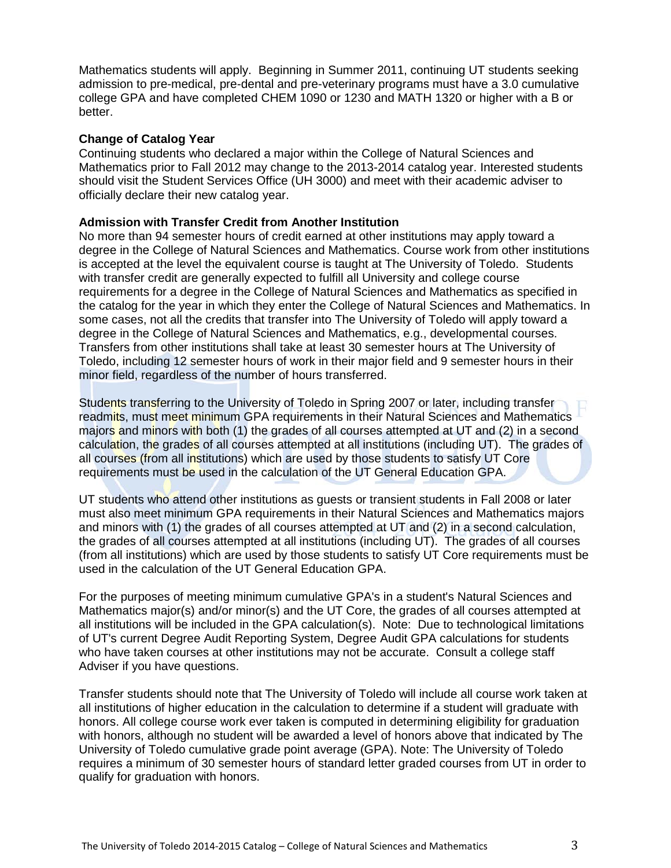Mathematics students will apply. Beginning in Summer 2011, continuing UT students seeking admission to pre-medical, pre-dental and pre-veterinary programs must have a 3.0 cumulative college GPA and have completed CHEM 1090 or 1230 and MATH 1320 or higher with a B or better.

#### **Change of Catalog Year**

Continuing students who declared a major within the College of Natural Sciences and Mathematics prior to Fall 2012 may change to the 2013-2014 catalog year. Interested students should visit the Student Services Office (UH 3000) and meet with their academic adviser to officially declare their new catalog year.

#### **Admission with Transfer Credit from Another Institution**

No more than 94 semester hours of credit earned at other institutions may apply toward a degree in the College of Natural Sciences and Mathematics. Course work from other institutions is accepted at the level the equivalent course is taught at The University of Toledo. Students with transfer credit are generally expected to fulfill all University and college course requirements for a degree in the College of Natural Sciences and Mathematics as specified in the catalog for the year in which they enter the College of Natural Sciences and Mathematics. In some cases, not all the credits that transfer into The University of Toledo will apply toward a degree in the College of Natural Sciences and Mathematics, e.g., developmental courses. Transfers from other institutions shall take at least 30 semester hours at The University of Toledo, including 12 semester hours of work in their major field and 9 semester hours in their minor field, regardless of the number of hours transferred.

Students transferring to the University of Toledo in Spring 2007 or later, including transfer readmits, must meet minimum GPA requirements in their Natural Sciences and Mathematics majors and minors with both (1) the grades of all courses attempted at UT and (2) in a second calculation, the grades of all courses attempted at all institutions (including UT). The grades of all courses (from all institutions) which are used by those students to satisfy UT Core requirements must be used in the calculation of the UT General Education GPA.

UT students who attend other institutions as guests or transient students in Fall 2008 or later must also meet minimum GPA requirements in their Natural Sciences and Mathematics majors and minors with (1) the grades of all courses attempted at UT and (2) in a second calculation, the grades of all courses attempted at all institutions (including UT). The grades of all courses (from all institutions) which are used by those students to satisfy UT Core requirements must be used in the calculation of the UT General Education GPA.

For the purposes of meeting minimum cumulative GPA's in a student's Natural Sciences and Mathematics major(s) and/or minor(s) and the UT Core, the grades of all courses attempted at all institutions will be included in the GPA calculation(s). Note: Due to technological limitations of UT's current Degree Audit Reporting System, Degree Audit GPA calculations for students who have taken courses at other institutions may not be accurate. Consult a college staff Adviser if you have questions.

Transfer students should note that The University of Toledo will include all course work taken at all institutions of higher education in the calculation to determine if a student will graduate with honors. All college course work ever taken is computed in determining eligibility for graduation with honors, although no student will be awarded a level of honors above that indicated by The University of Toledo cumulative grade point average (GPA). Note: The University of Toledo requires a minimum of 30 semester hours of standard letter graded courses from UT in order to qualify for graduation with honors.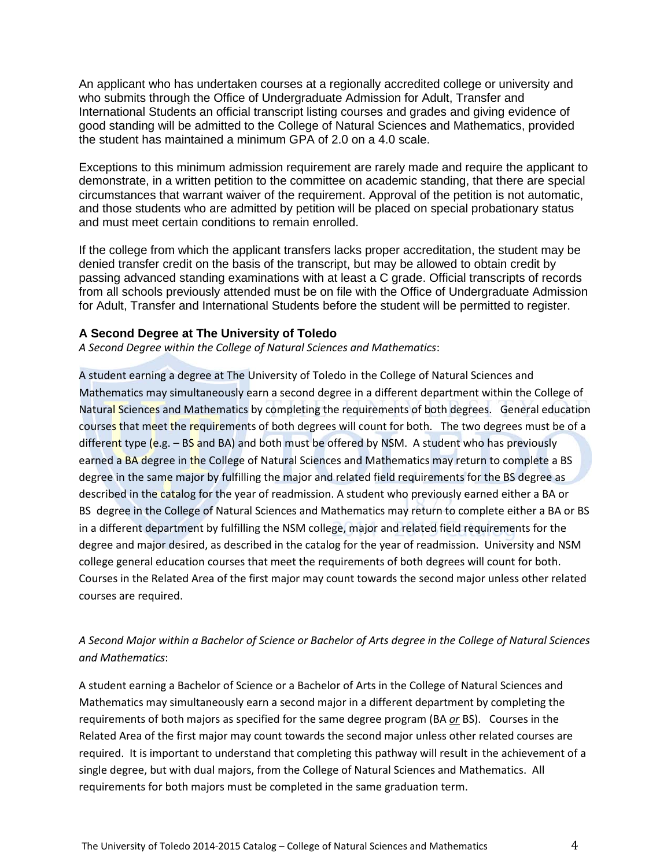An applicant who has undertaken courses at a regionally accredited college or university and who submits through the Office of Undergraduate Admission for Adult, Transfer and International Students an official transcript listing courses and grades and giving evidence of good standing will be admitted to the College of Natural Sciences and Mathematics, provided the student has maintained a minimum GPA of 2.0 on a 4.0 scale.

Exceptions to this minimum admission requirement are rarely made and require the applicant to demonstrate, in a written petition to the committee on academic standing, that there are special circumstances that warrant waiver of the requirement. Approval of the petition is not automatic, and those students who are admitted by petition will be placed on special probationary status and must meet certain conditions to remain enrolled.

If the college from which the applicant transfers lacks proper accreditation, the student may be denied transfer credit on the basis of the transcript, but may be allowed to obtain credit by passing advanced standing examinations with at least a C grade. Official transcripts of records from all schools previously attended must be on file with the Office of Undergraduate Admission for Adult, Transfer and International Students before the student will be permitted to register.

#### **A Second Degree at The University of Toledo**

*A Second Degree within the College of Natural Sciences and Mathematics*:

A student earning a degree at The University of Toledo in the College of Natural Sciences and Mathematics may simultaneously earn a second degree in a different department within the College of Natural Sciences and Mathematics by completing the requirements of both degrees. General education courses that meet the requirements of both degrees will count for both. The two degrees must be of a different type (e.g.  $-$  BS and BA) and both must be offered by NSM. A student who has previously earned a BA degree in the College of Natural Sciences and Mathematics may return to complete a BS degree in the same major by fulfilling the major and related field requirements for the BS degree as described in the catalog for the year of readmission. A student who previously earned either a BA or BS degree in the College of Natural Sciences and Mathematics may return to complete either a BA or BS in a different department by fulfilling the NSM college, major and related field requirements for the degree and major desired, as described in the catalog for the year of readmission. University and NSM college general education courses that meet the requirements of both degrees will count for both. Courses in the Related Area of the first major may count towards the second major unless other related courses are required.

### *A Second Major within a Bachelor of Science or Bachelor of Arts degree in the College of Natural Sciences and Mathematics*:

A student earning a Bachelor of Science or a Bachelor of Arts in the College of Natural Sciences and Mathematics may simultaneously earn a second major in a different department by completing the requirements of both majors as specified for the same degree program (BA *or* BS). Courses in the Related Area of the first major may count towards the second major unless other related courses are required. It is important to understand that completing this pathway will result in the achievement of a single degree, but with dual majors, from the College of Natural Sciences and Mathematics. All requirements for both majors must be completed in the same graduation term.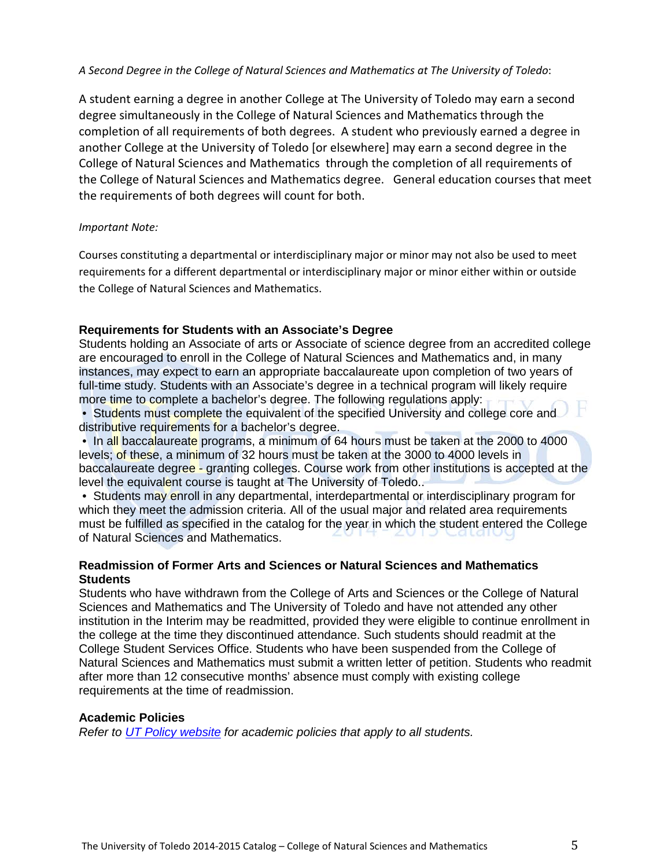#### *A Second Degree in the College of Natural Sciences and Mathematics at The University of Toledo*:

A student earning a degree in another College at The University of Toledo may earn a second degree simultaneously in the College of Natural Sciences and Mathematics through the completion of all requirements of both degrees. A student who previously earned a degree in another College at the University of Toledo [or elsewhere] may earn a second degree in the College of Natural Sciences and Mathematics through the completion of all requirements of the College of Natural Sciences and Mathematics degree. General education courses that meet the requirements of both degrees will count for both.

#### *Important Note:*

Courses constituting a departmental or interdisciplinary major or minor may not also be used to meet requirements for a different departmental or interdisciplinary major or minor either within or outside the College of Natural Sciences and Mathematics.

#### **Requirements for Students with an Associate's Degree**

Students holding an Associate of arts or Associate of science degree from an accredited college are encouraged to enroll in the College of Natural Sciences and Mathematics and, in many instances, may expect to earn an appropriate baccalaureate upon completion of two years of full-time study. Students with an Associate's degree in a technical program will likely require more time to complete a bachelor's degree. The following regulations apply:

• Students must complete the equivalent of the specified University and college core and distributive requirements for a bachelor's degree.

• In all baccalaureate programs, a minimum of 64 hours must be taken at the 2000 to 4000 levels; of these, a minimum of 32 hours must be taken at the 3000 to 4000 levels in baccalaureate degree - granting colleges. Course work from other institutions is accepted at the level the equivalent course is taught at The University of Toledo..

• Students may enroll in any departmental, interdepartmental or interdisciplinary program for which they meet the admission criteria. All of the usual major and related area requirements must be fulfilled as specified in the catalog for the year in which the student entered the College of Natural Sciences and Mathematics.

#### **Readmission of Former Arts and Sciences or Natural Sciences and Mathematics Students**

Students who have withdrawn from the College of Arts and Sciences or the College of Natural Sciences and Mathematics and The University of Toledo and have not attended any other institution in the Interim may be readmitted, provided they were eligible to continue enrollment in the college at the time they discontinued attendance. Such students should readmit at the College Student Services Office. Students who have been suspended from the College of Natural Sciences and Mathematics must submit a written letter of petition. Students who readmit after more than 12 consecutive months' absence must comply with existing college requirements at the time of readmission.

#### **Academic Policies**

*Refer to [UT Policy website](http://utoledo.edu/policies/) for academic policies that apply to all students.*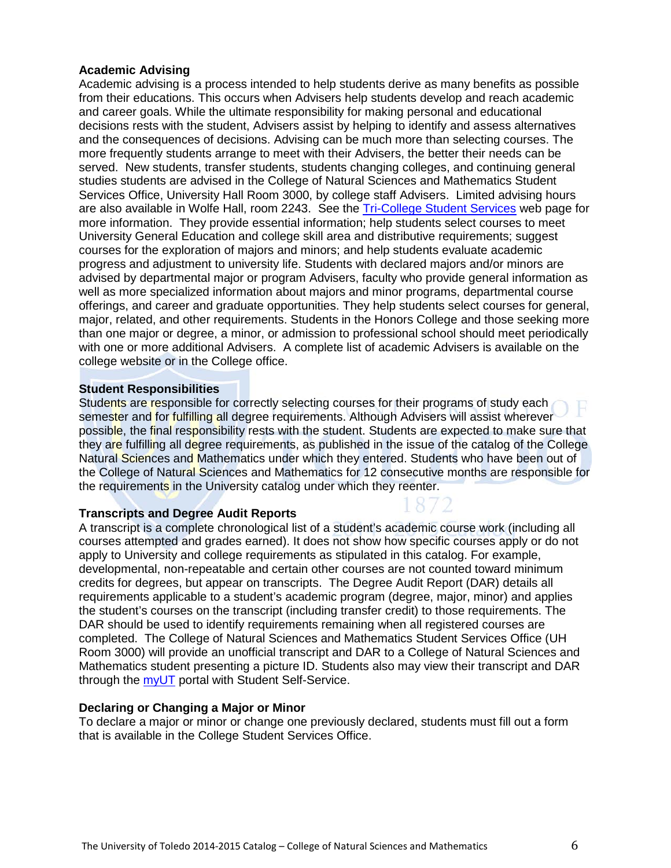#### **Academic Advising**

Academic advising is a process intended to help students derive as many benefits as possible from their educations. This occurs when Advisers help students develop and reach academic and career goals. While the ultimate responsibility for making personal and educational decisions rests with the student, Advisers assist by helping to identify and assess alternatives and the consequences of decisions. Advising can be much more than selecting courses. The more frequently students arrange to meet with their Advisers, the better their needs can be served. New students, transfer students, students changing colleges, and continuing general studies students are advised in the College of Natural Sciences and Mathematics Student Services Office, University Hall Room 3000, by college staff Advisers. Limited advising hours are also available in Wolfe Hall, room 2243. See the [Tri-College Student Services](http://www.utoledo.edu/offices/studentservices/index.html) web page for more information. They provide essential information; help students select courses to meet University General Education and college skill area and distributive requirements; suggest courses for the exploration of majors and minors; and help students evaluate academic progress and adjustment to university life. Students with declared majors and/or minors are advised by departmental major or program Advisers, faculty who provide general information as well as more specialized information about majors and minor programs, departmental course offerings, and career and graduate opportunities. They help students select courses for general, major, related, and other requirements. Students in the Honors College and those seeking more than one major or degree, a minor, or admission to professional school should meet periodically with one or more additional Advisers. A complete list of academic Advisers is available on the college website or in the College office.

#### **Student Responsibilities**

Students are responsible for correctly selecting courses for their programs of study each semester and for fulfilling all degree requirements. Although Advisers will assist wherever possible, the final responsibility rests with the student. Students are expected to make sure that they are fulfilling all degree requirements, as published in the issue of the catalog of the College Natural Sciences and Mathematics under which they entered. Students who have been out of the College of Natural Sciences and Mathematics for 12 consecutive months are responsible for the requirements in the University catalog under which they reenter.

#### **Transcripts and Degree Audit Reports**

A transcript is a complete chronological list of a student's academic course work (including all courses attempted and grades earned). It does not show how specific courses apply or do not apply to University and college requirements as stipulated in this catalog. For example, developmental, non-repeatable and certain other courses are not counted toward minimum credits for degrees, but appear on transcripts. The Degree Audit Report (DAR) details all requirements applicable to a student's academic program (degree, major, minor) and applies the student's courses on the transcript (including transfer credit) to those requirements. The DAR should be used to identify requirements remaining when all registered courses are completed. The College of Natural Sciences and Mathematics Student Services Office (UH Room 3000) will provide an unofficial transcript and DAR to a College of Natural Sciences and Mathematics student presenting a picture ID. Students also may view their transcript and DAR through the [myUT](http://myut.utoledo.edu/) portal with Student Self-Service.

#### **Declaring or Changing a Major or Minor**

To declare a major or minor or change one previously declared, students must fill out a form that is available in the College Student Services Office.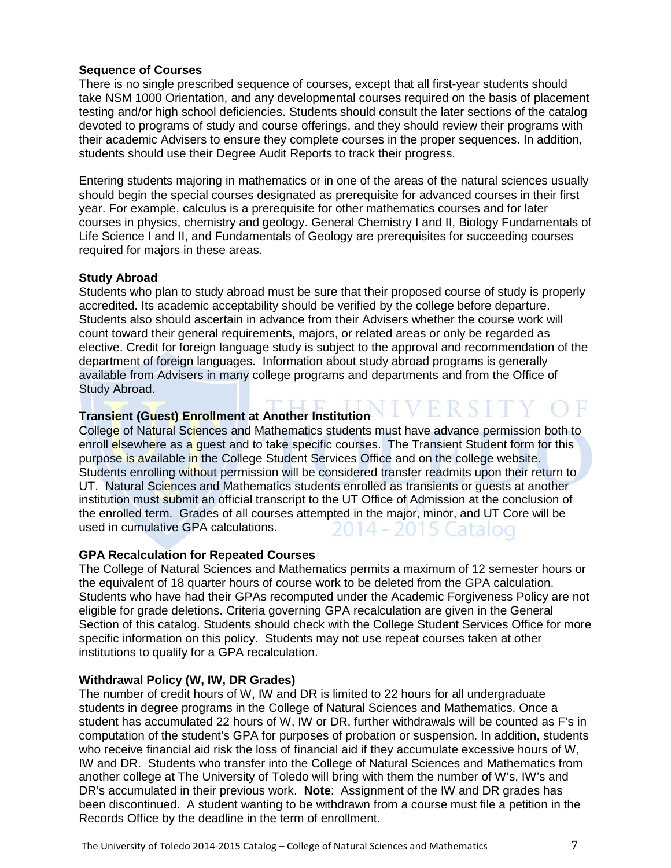#### **Sequence of Courses**

There is no single prescribed sequence of courses, except that all first-year students should take NSM 1000 Orientation, and any developmental courses required on the basis of placement testing and/or high school deficiencies. Students should consult the later sections of the catalog devoted to programs of study and course offerings, and they should review their programs with their academic Advisers to ensure they complete courses in the proper sequences. In addition, students should use their Degree Audit Reports to track their progress.

Entering students majoring in mathematics or in one of the areas of the natural sciences usually should begin the special courses designated as prerequisite for advanced courses in their first year. For example, calculus is a prerequisite for other mathematics courses and for later courses in physics, chemistry and geology. General Chemistry I and II, Biology Fundamentals of Life Science I and II, and Fundamentals of Geology are prerequisites for succeeding courses required for majors in these areas.

#### **Study Abroad**

Students who plan to study abroad must be sure that their proposed course of study is properly accredited. Its academic acceptability should be verified by the college before departure. Students also should ascertain in advance from their Advisers whether the course work will count toward their general requirements, majors, or related areas or only be regarded as elective. Credit for foreign language study is subject to the approval and recommendation of the department of foreign languages. Information about study abroad programs is generally available from Advisers in many college programs and departments and from the Office of Study Abroad.

# **Transient (Guest) Enrollment at Another Institution**  $\Gamma$  **V E R S I T Y (**

College of Natural Sciences and Mathematics students must have advance permission both to enroll elsewhere as a guest and to take specific courses. The Transient Student form for this purpose is available in the College Student Services Office and on the college website. Students enrolling without permission will be considered transfer readmits upon their return to UT. Natural Sciences and Mathematics students enrolled as transients or quests at another institution must submit an official transcript to the UT Office of Admission at the conclusion of the enrolled term. Grades of all courses attempted in the major, minor, and UT Core will be used in cumulative GPA calculations. 2014 - 2015 Catalog

#### **GPA Recalculation for Repeated Courses**

The College of Natural Sciences and Mathematics permits a maximum of 12 semester hours or the equivalent of 18 quarter hours of course work to be deleted from the GPA calculation. Students who have had their GPAs recomputed under the Academic Forgiveness Policy are not eligible for grade deletions. Criteria governing GPA recalculation are given in the General Section of this catalog. Students should check with the College Student Services Office for more specific information on this policy. Students may not use repeat courses taken at other institutions to qualify for a GPA recalculation.

#### **Withdrawal Policy (W, IW, DR Grades)**

The number of credit hours of W, IW and DR is limited to 22 hours for all undergraduate students in degree programs in the College of Natural Sciences and Mathematics. Once a student has accumulated 22 hours of W, IW or DR, further withdrawals will be counted as F's in computation of the student's GPA for purposes of probation or suspension. In addition, students who receive financial aid risk the loss of financial aid if they accumulate excessive hours of W, IW and DR. Students who transfer into the College of Natural Sciences and Mathematics from another college at The University of Toledo will bring with them the number of W's, IW's and DR's accumulated in their previous work. **Note**: Assignment of the IW and DR grades has been discontinued. A student wanting to be withdrawn from a course must file a petition in the Records Office by the deadline in the term of enrollment.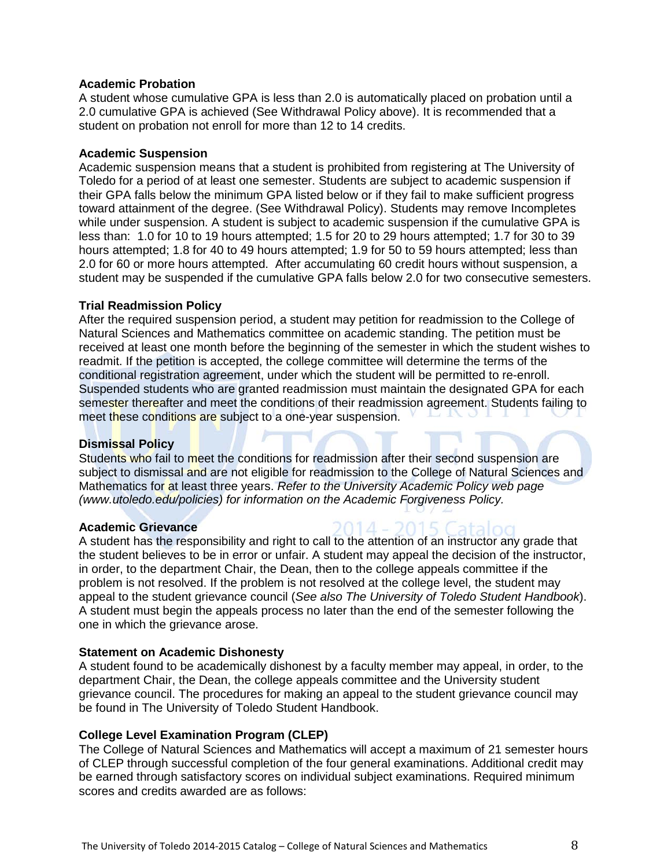#### **Academic Probation**

A student whose cumulative GPA is less than 2.0 is automatically placed on probation until a 2.0 cumulative GPA is achieved (See Withdrawal Policy above). It is recommended that a student on probation not enroll for more than 12 to 14 credits.

#### **Academic Suspension**

Academic suspension means that a student is prohibited from registering at The University of Toledo for a period of at least one semester. Students are subject to academic suspension if their GPA falls below the minimum GPA listed below or if they fail to make sufficient progress toward attainment of the degree. (See Withdrawal Policy). Students may remove Incompletes while under suspension. A student is subject to academic suspension if the cumulative GPA is less than: 1.0 for 10 to 19 hours attempted; 1.5 for 20 to 29 hours attempted; 1.7 for 30 to 39 hours attempted; 1.8 for 40 to 49 hours attempted; 1.9 for 50 to 59 hours attempted; less than 2.0 for 60 or more hours attempted. After accumulating 60 credit hours without suspension, a student may be suspended if the cumulative GPA falls below 2.0 for two consecutive semesters.

#### **Trial Readmission Policy**

After the required suspension period, a student may petition for readmission to the College of Natural Sciences and Mathematics committee on academic standing. The petition must be received at least one month before the beginning of the semester in which the student wishes to readmit. If the petition is accepted, the college committee will determine the terms of the conditional registration agreement, under which the student will be permitted to re-enroll. Suspended students who are granted readmission must maintain the designated GPA for each semester thereafter and meet the conditions of their readmission agreement. Students failing to meet these conditions are subject to a one-year suspension.

#### **Dismissal Policy**

Students who fail to meet the conditions for readmission after their second suspension are subject to dismissal and are not eligible for readmission to the College of Natural Sciences and Mathematics for at least three years. *Refer to the University Academic Policy web page (www.utoledo.edu/policies) for information on the Academic Forgiveness Policy.* 

#### **Academic Grievance**

A student has the responsibility and right to call to the attention of an instructor any grade that the student believes to be in error or unfair. A student may appeal the decision of the instructor, in order, to the department Chair, the Dean, then to the college appeals committee if the problem is not resolved. If the problem is not resolved at the college level, the student may appeal to the student grievance council (*See also The University of Toledo Student Handbook*). A student must begin the appeals process no later than the end of the semester following the one in which the grievance arose.

#### **Statement on Academic Dishonesty**

A student found to be academically dishonest by a faculty member may appeal, in order, to the department Chair, the Dean, the college appeals committee and the University student grievance council. The procedures for making an appeal to the student grievance council may be found in The University of Toledo Student Handbook.

#### **College Level Examination Program (CLEP)**

The College of Natural Sciences and Mathematics will accept a maximum of 21 semester hours of CLEP through successful completion of the four general examinations. Additional credit may be earned through satisfactory scores on individual subject examinations. Required minimum scores and credits awarded are as follows: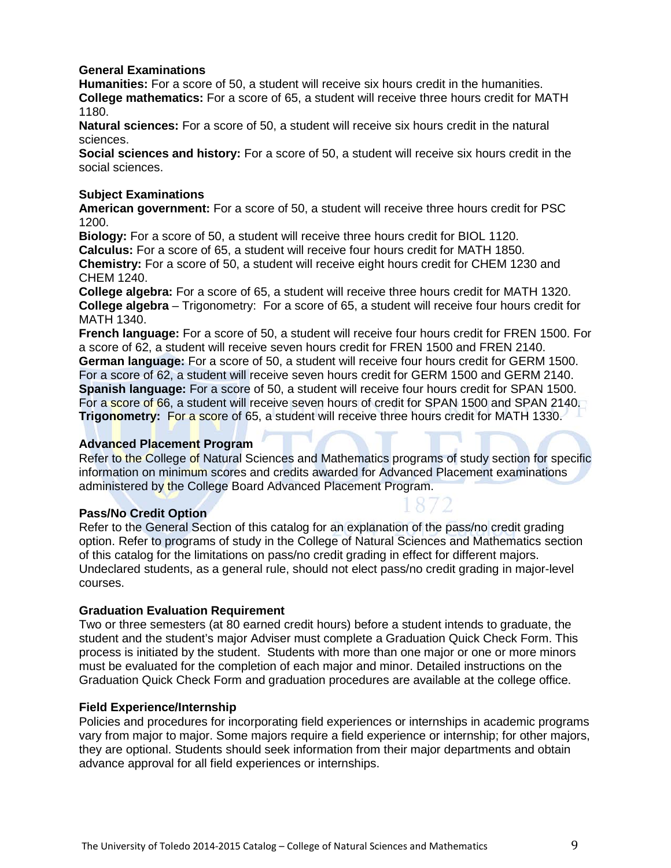#### **General Examinations**

**Humanities:** For a score of 50, a student will receive six hours credit in the humanities. **College mathematics:** For a score of 65, a student will receive three hours credit for MATH 1180.

**Natural sciences:** For a score of 50, a student will receive six hours credit in the natural sciences.

**Social sciences and history:** For a score of 50, a student will receive six hours credit in the social sciences.

#### **Subject Examinations**

**American government:** For a score of 50, a student will receive three hours credit for PSC 1200.

**Biology:** For a score of 50, a student will receive three hours credit for BIOL 1120. **Calculus:** For a score of 65, a student will receive four hours credit for MATH 1850. **Chemistry:** For a score of 50, a student will receive eight hours credit for CHEM 1230 and CHEM 1240.

**College algebra:** For a score of 65, a student will receive three hours credit for MATH 1320. **College algebra** – Trigonometry: For a score of 65, a student will receive four hours credit for MATH 1340.

**French language:** For a score of 50, a student will receive four hours credit for FREN 1500. For a score of 62, a student will receive seven hours credit for FREN 1500 and FREN 2140. **German language:** For a score of 50, a student will receive four hours credit for GERM 1500. For a score of 62, a student will receive seven hours credit for GERM 1500 and GERM 2140. **Spanish language:** For a score of 50, a student will receive four hours credit for SPAN 1500. For a score of 66, a student will receive seven hours of credit for SPAN 1500 and SPAN 2140. **Trigonometry:** For a score of 65, a student will receive three hours credit for MATH 1330.

#### **Advanced Placement Program**

Refer to the College of Natural Sciences and Mathematics programs of study section for specific information on minimum scores and credits awarded for Advanced Placement examinations administered by the College Board Advanced Placement Program.

#### **Pass/No Credit Option**

Refer to the General Section of this catalog for an explanation of the pass/no credit grading option. Refer to programs of study in the College of Natural Sciences and Mathematics section of this catalog for the limitations on pass/no credit grading in effect for different majors. Undeclared students, as a general rule, should not elect pass/no credit grading in major-level courses.

#### **Graduation Evaluation Requirement**

Two or three semesters (at 80 earned credit hours) before a student intends to graduate, the student and the student's major Adviser must complete a Graduation Quick Check Form. This process is initiated by the student. Students with more than one major or one or more minors must be evaluated for the completion of each major and minor. Detailed instructions on the Graduation Quick Check Form and graduation procedures are available at the college office.

#### **Field Experience/Internship**

Policies and procedures for incorporating field experiences or internships in academic programs vary from major to major. Some majors require a field experience or internship; for other majors, they are optional. Students should seek information from their major departments and obtain advance approval for all field experiences or internships.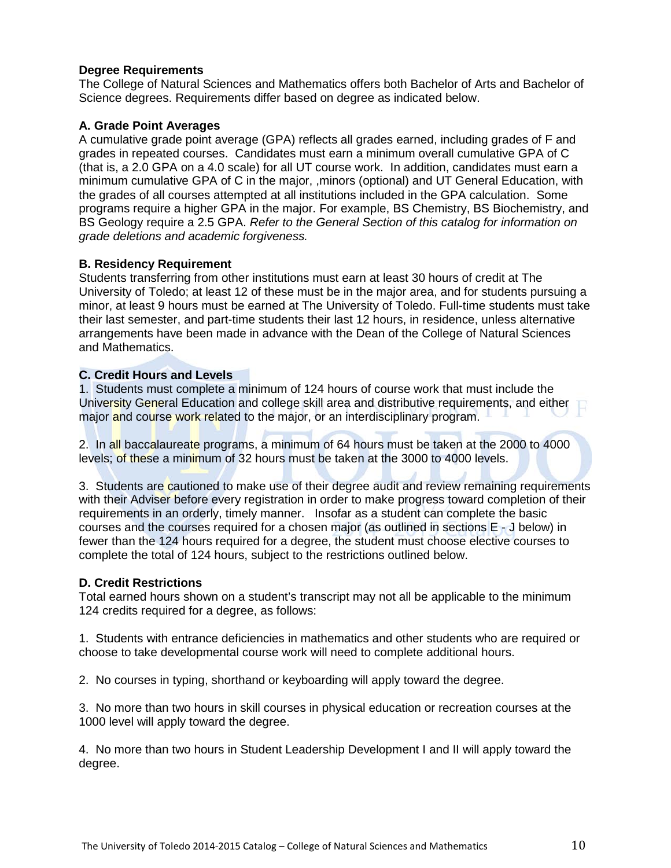#### **Degree Requirements**

The College of Natural Sciences and Mathematics offers both Bachelor of Arts and Bachelor of Science degrees. Requirements differ based on degree as indicated below.

#### **A. Grade Point Averages**

A cumulative grade point average (GPA) reflects all grades earned, including grades of F and grades in repeated courses. Candidates must earn a minimum overall cumulative GPA of C (that is, a 2.0 GPA on a 4.0 scale) for all UT course work. In addition, candidates must earn a minimum cumulative GPA of C in the major, ,minors (optional) and UT General Education, with the grades of all courses attempted at all institutions included in the GPA calculation. Some programs require a higher GPA in the major. For example, BS Chemistry, BS Biochemistry, and BS Geology require a 2.5 GPA. *Refer to the General Section of this catalog for information on grade deletions and academic forgiveness.* 

#### **B. Residency Requirement**

Students transferring from other institutions must earn at least 30 hours of credit at The University of Toledo; at least 12 of these must be in the major area, and for students pursuing a minor, at least 9 hours must be earned at The University of Toledo. Full-time students must take their last semester, and part-time students their last 12 hours, in residence, unless alternative arrangements have been made in advance with the Dean of the College of Natural Sciences and Mathematics.

#### **C. Credit Hours and Levels**

1. Students must complete a minimum of 124 hours of course work that must include the University General Education and college skill area and distributive requirements, and either major and course work related to the major, or an interdisciplinary program.

2. In all baccalaureate programs, a minimum of 64 hours must be taken at the 2000 to 4000 levels; of these a minimum of 32 hours must be taken at the 3000 to 4000 levels.

3. Students are cautioned to make use of their degree audit and review remaining requirements with their Adviser before every registration in order to make progress toward completion of their requirements in an orderly, timely manner. Insofar as a student can complete the basic courses and the courses required for a chosen major (as outlined in sections E - J below) in fewer than the 124 hours required for a degree, the student must choose elective courses to complete the total of 124 hours, subject to the restrictions outlined below.

#### **D. Credit Restrictions**

Total earned hours shown on a student's transcript may not all be applicable to the minimum 124 credits required for a degree, as follows:

1. Students with entrance deficiencies in mathematics and other students who are required or choose to take developmental course work will need to complete additional hours.

2. No courses in typing, shorthand or keyboarding will apply toward the degree.

3. No more than two hours in skill courses in physical education or recreation courses at the 1000 level will apply toward the degree.

4. No more than two hours in Student Leadership Development I and II will apply toward the degree.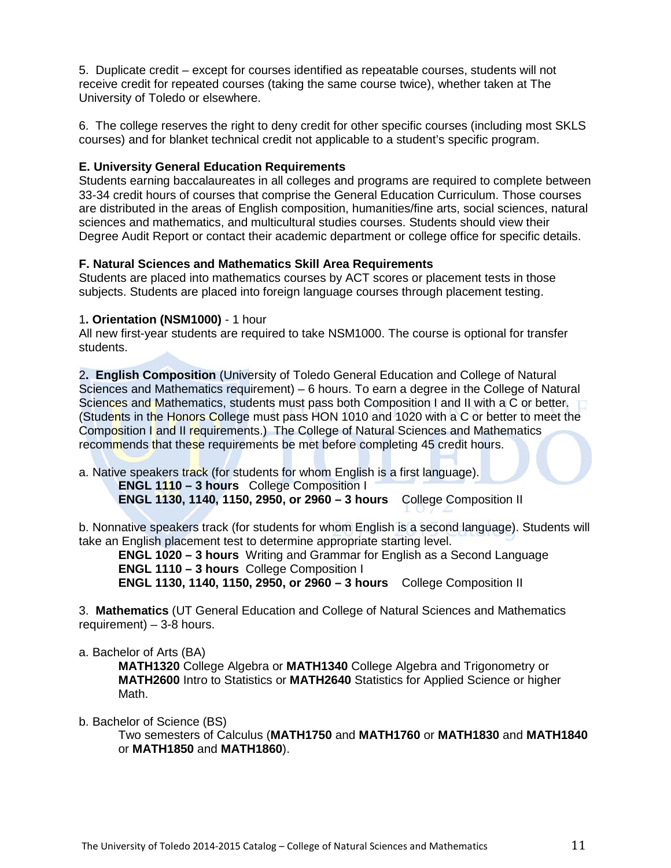5. Duplicate credit – except for courses identified as repeatable courses, students will not receive credit for repeated courses (taking the same course twice), whether taken at The University of Toledo or elsewhere.

6. The college reserves the right to deny credit for other specific courses (including most SKLS courses) and for blanket technical credit not applicable to a student's specific program.

#### **E. University General Education Requirements**

Students earning baccalaureates in all colleges and programs are required to complete between 33-34 credit hours of courses that comprise the General Education Curriculum. Those courses are distributed in the areas of English composition, humanities/fine arts, social sciences, natural sciences and mathematics, and multicultural studies courses. Students should view their Degree Audit Report or contact their academic department or college office for specific details.

#### **F. Natural Sciences and Mathematics Skill Area Requirements**

Students are placed into mathematics courses by ACT scores or placement tests in those subjects. Students are placed into foreign language courses through placement testing.

#### 1**. Orientation (NSM1000)** - 1 hour

All new first-year students are required to take NSM1000. The course is optional for transfer students.

2**. English Composition** (University of Toledo General Education and College of Natural Sciences and Mathematics requirement) – 6 hours. To earn a degree in the College of Natural Sciences and Mathematics, students must pass both Composition I and II with a C or better. (Students in the Honors College must pass HON 1010 and 1020 with a C or better to meet the Composition I and II requirements.) The College of Natural Sciences and Mathematics recommends that these requirements be met before completing 45 credit hours.

a. Native speakers track (for students for whom English is a first language).

 **ENGL 1110 – 3 hours** College Composition I  **ENGL 1130, 1140, 1150, 2950, or 2960 – 3 hours** College Composition II

b. Nonnative speakers track (for students for whom English is a second language). Students will take an English placement test to determine appropriate starting level.

**ENGL 1020 – 3 hours** Writing and Grammar for English as a Second Language  **ENGL 1110 – 3 hours** College Composition I **ENGL 1130, 1140, 1150, 2950, or 2960 – 3 hours** College Composition II

3. **Mathematics** (UT General Education and College of Natural Sciences and Mathematics requirement) – 3-8 hours.

a. Bachelor of Arts (BA)

**MATH1320** College Algebra or **MATH1340** College Algebra and Trigonometry or **MATH2600** Intro to Statistics or **MATH2640** Statistics for Applied Science or higher Math.

b. Bachelor of Science (BS)

Two semesters of Calculus (**MATH1750** and **MATH1760** or **MATH1830** and **MATH1840** or **MATH1850** and **MATH1860**).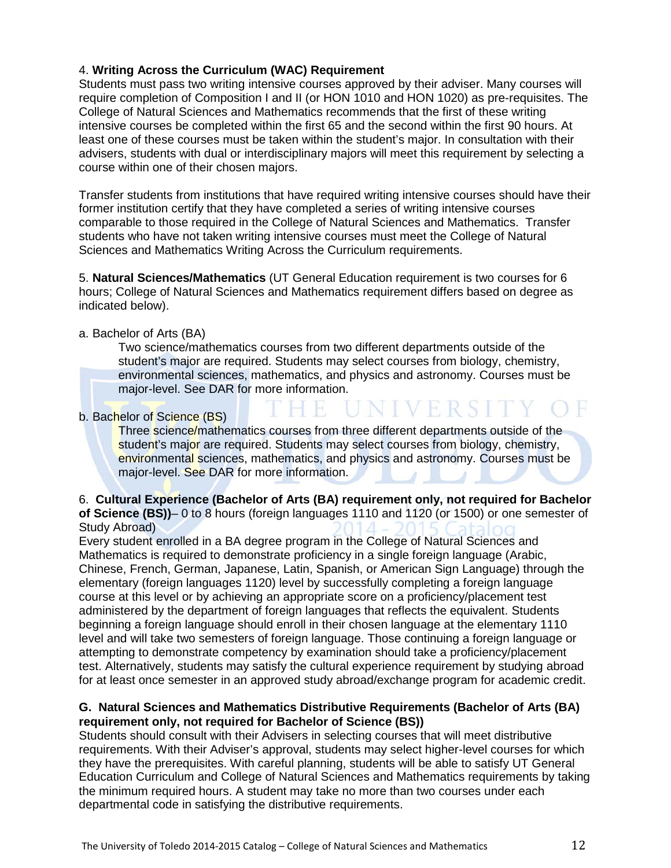#### 4. **Writing Across the Curriculum (WAC) Requirement**

Students must pass two writing intensive courses approved by their adviser. Many courses will require completion of Composition I and II (or HON 1010 and HON 1020) as pre-requisites. The College of Natural Sciences and Mathematics recommends that the first of these writing intensive courses be completed within the first 65 and the second within the first 90 hours. At least one of these courses must be taken within the student's major. In consultation with their advisers, students with dual or interdisciplinary majors will meet this requirement by selecting a course within one of their chosen majors.

Transfer students from institutions that have required writing intensive courses should have their former institution certify that they have completed a series of writing intensive courses comparable to those required in the College of Natural Sciences and Mathematics. Transfer students who have not taken writing intensive courses must meet the College of Natural Sciences and Mathematics Writing Across the Curriculum requirements.

5. **Natural Sciences/Mathematics** (UT General Education requirement is two courses for 6 hours; College of Natural Sciences and Mathematics requirement differs based on degree as indicated below).

 $-$ 

#### a. Bachelor of Arts (BA)

Two science/mathematics courses from two different departments outside of the student's major are required. Students may select courses from biology, chemistry, environmental sciences, mathematics, and physics and astronomy. Courses must be major-level. See DAR for more information.

NIVERSI

#### b. Bachelor of Science (BS)

Three science/mathematics courses from three different departments outside of the student's major are required. Students may select courses from biology, chemistry, environmental sciences, mathematics, and physics and astronomy. Courses must be major-level. See DAR for more information.

#### 6. **Cultural Experience (Bachelor of Arts (BA) requirement only, not required for Bachelor of Science (BS))**– 0 to 8 hours (foreign languages 1110 and 1120 (or 1500) or one semester of Study Abroad)

Every student enrolled in a BA degree program in the College of Natural Sciences and Mathematics is required to demonstrate proficiency in a single foreign language (Arabic, Chinese, French, German, Japanese, Latin, Spanish, or American Sign Language) through the elementary (foreign languages 1120) level by successfully completing a foreign language course at this level or by achieving an appropriate score on a proficiency/placement test administered by the department of foreign languages that reflects the equivalent. Students beginning a foreign language should enroll in their chosen language at the elementary 1110 level and will take two semesters of foreign language. Those continuing a foreign language or attempting to demonstrate competency by examination should take a proficiency/placement test. Alternatively, students may satisfy the cultural experience requirement by studying abroad for at least once semester in an approved study abroad/exchange program for academic credit.

#### **G. Natural Sciences and Mathematics Distributive Requirements (Bachelor of Arts (BA) requirement only, not required for Bachelor of Science (BS))**

Students should consult with their Advisers in selecting courses that will meet distributive requirements. With their Adviser's approval, students may select higher-level courses for which they have the prerequisites. With careful planning, students will be able to satisfy UT General Education Curriculum and College of Natural Sciences and Mathematics requirements by taking the minimum required hours. A student may take no more than two courses under each departmental code in satisfying the distributive requirements.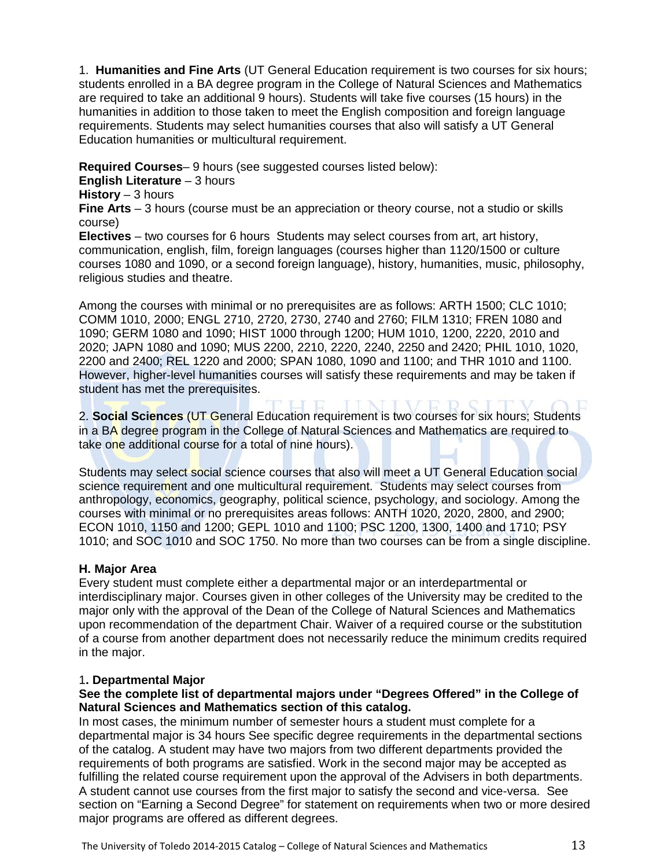1. **Humanities and Fine Arts** (UT General Education requirement is two courses for six hours; students enrolled in a BA degree program in the College of Natural Sciences and Mathematics are required to take an additional 9 hours). Students will take five courses (15 hours) in the humanities in addition to those taken to meet the English composition and foreign language requirements. Students may select humanities courses that also will satisfy a UT General Education humanities or multicultural requirement.

**Required Courses**– 9 hours (see suggested courses listed below):

**English Literature** – 3 hours

**History** – 3 hours

**Fine Arts** – 3 hours (course must be an appreciation or theory course, not a studio or skills course)

**Electives** – two courses for 6 hours Students may select courses from art, art history, communication, english, film, foreign languages (courses higher than 1120/1500 or culture courses 1080 and 1090, or a second foreign language), history, humanities, music, philosophy, religious studies and theatre.

Among the courses with minimal or no prerequisites are as follows: ARTH 1500; CLC 1010; COMM 1010, 2000; ENGL 2710, 2720, 2730, 2740 and 2760; FILM 1310; FREN 1080 and 1090; GERM 1080 and 1090; HIST 1000 through 1200; HUM 1010, 1200, 2220, 2010 and 2020; JAPN 1080 and 1090; MUS 2200, 2210, 2220, 2240, 2250 and 2420; PHIL 1010, 1020, 2200 and 2400; REL 1220 and 2000; SPAN 1080, 1090 and 1100; and THR 1010 and 1100. However, higher-level humanities courses will satisfy these requirements and may be taken if student has met the prerequisites.

2. **Social Sciences** (UT General Education requirement is two courses for six hours; Students in a BA degree program in the College of Natural Sciences and Mathematics are required to take one additional course for a total of nine hours).

Students may select social science courses that also will meet a UT General Education social science requirement and one multicultural requirement. Students may select courses from anthropology, economics, geography, political science, psychology, and sociology. Among the courses with minimal or no prerequisites areas follows: ANTH 1020, 2020, 2800, and 2900; ECON 1010, 1150 and 1200; GEPL 1010 and 1100; PSC 1200, 1300, 1400 and 1710; PSY 1010; and SOC 1010 and SOC 1750. No more than two courses can be from a single discipline.

#### **H. Major Area**

Every student must complete either a departmental major or an interdepartmental or interdisciplinary major. Courses given in other colleges of the University may be credited to the major only with the approval of the Dean of the College of Natural Sciences and Mathematics upon recommendation of the department Chair. Waiver of a required course or the substitution of a course from another department does not necessarily reduce the minimum credits required in the major.

#### 1**. Departmental Major**

#### **See the complete list of departmental majors under "Degrees Offered" in the College of Natural Sciences and Mathematics section of this catalog.**

In most cases, the minimum number of semester hours a student must complete for a departmental major is 34 hours See specific degree requirements in the departmental sections of the catalog. A student may have two majors from two different departments provided the requirements of both programs are satisfied. Work in the second major may be accepted as fulfilling the related course requirement upon the approval of the Advisers in both departments. A student cannot use courses from the first major to satisfy the second and vice-versa. See section on "Earning a Second Degree" for statement on requirements when two or more desired major programs are offered as different degrees.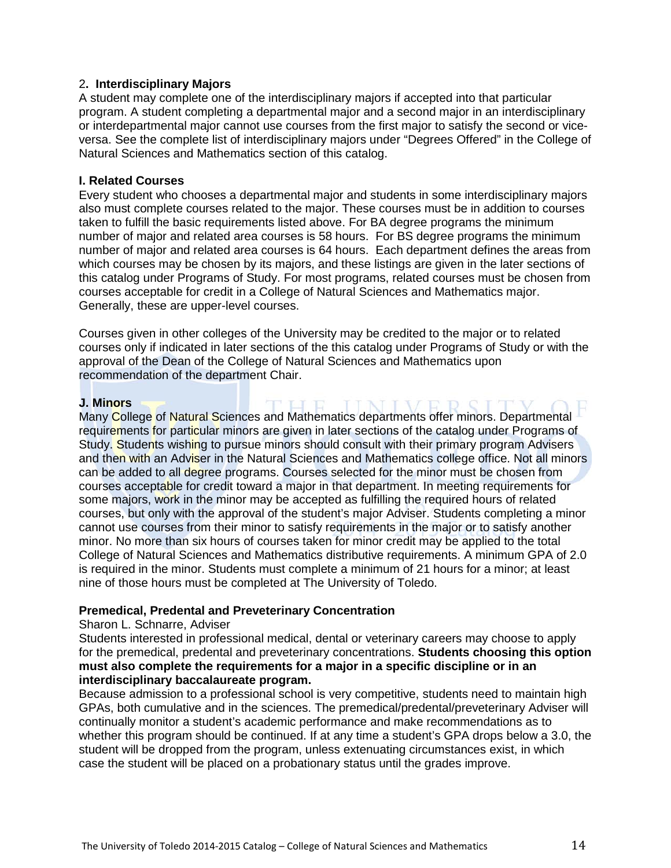#### 2**. Interdisciplinary Majors**

A student may complete one of the interdisciplinary majors if accepted into that particular program. A student completing a departmental major and a second major in an interdisciplinary or interdepartmental major cannot use courses from the first major to satisfy the second or viceversa. See the complete list of interdisciplinary majors under "Degrees Offered" in the College of Natural Sciences and Mathematics section of this catalog.

#### **I. Related Courses**

Every student who chooses a departmental major and students in some interdisciplinary majors also must complete courses related to the major. These courses must be in addition to courses taken to fulfill the basic requirements listed above. For BA degree programs the minimum number of major and related area courses is 58 hours. For BS degree programs the minimum number of major and related area courses is 64 hours. Each department defines the areas from which courses may be chosen by its majors, and these listings are given in the later sections of this catalog under Programs of Study. For most programs, related courses must be chosen from courses acceptable for credit in a College of Natural Sciences and Mathematics major. Generally, these are upper-level courses.

Courses given in other colleges of the University may be credited to the major or to related courses only if indicated in later sections of the this catalog under Programs of Study or with the approval of the Dean of the College of Natural Sciences and Mathematics upon recommendation of the department Chair.

**IIMITUE** 

#### **J. Minors**

Many College of Natural Sciences and Mathematics departments offer minors. Departmental requirements for particular minors are given in later sections of the catalog under Programs of Study. Students wishing to pursue minors should consult with their primary program Advisers and then with an Adviser in the Natural Sciences and Mathematics college office. Not all minors can be added to all degree programs. Courses selected for the minor must be chosen from courses acceptable for credit toward a major in that department. In meeting requirements for some majors, work in the minor may be accepted as fulfilling the required hours of related courses, but only with the approval of the student's major Adviser. Students completing a minor cannot use courses from their minor to satisfy requirements in the major or to satisfy another minor. No more than six hours of courses taken for minor credit may be applied to the total College of Natural Sciences and Mathematics distributive requirements. A minimum GPA of 2.0 is required in the minor. Students must complete a minimum of 21 hours for a minor; at least nine of those hours must be completed at The University of Toledo.

#### **Premedical, Predental and Preveterinary Concentration**

#### Sharon L. Schnarre, Adviser

Students interested in professional medical, dental or veterinary careers may choose to apply for the premedical, predental and preveterinary concentrations. **Students choosing this option must also complete the requirements for a major in a specific discipline or in an interdisciplinary baccalaureate program.** 

Because admission to a professional school is very competitive, students need to maintain high GPAs, both cumulative and in the sciences. The premedical/predental/preveterinary Adviser will continually monitor a student's academic performance and make recommendations as to whether this program should be continued. If at any time a student's GPA drops below a 3.0, the student will be dropped from the program, unless extenuating circumstances exist, in which case the student will be placed on a probationary status until the grades improve.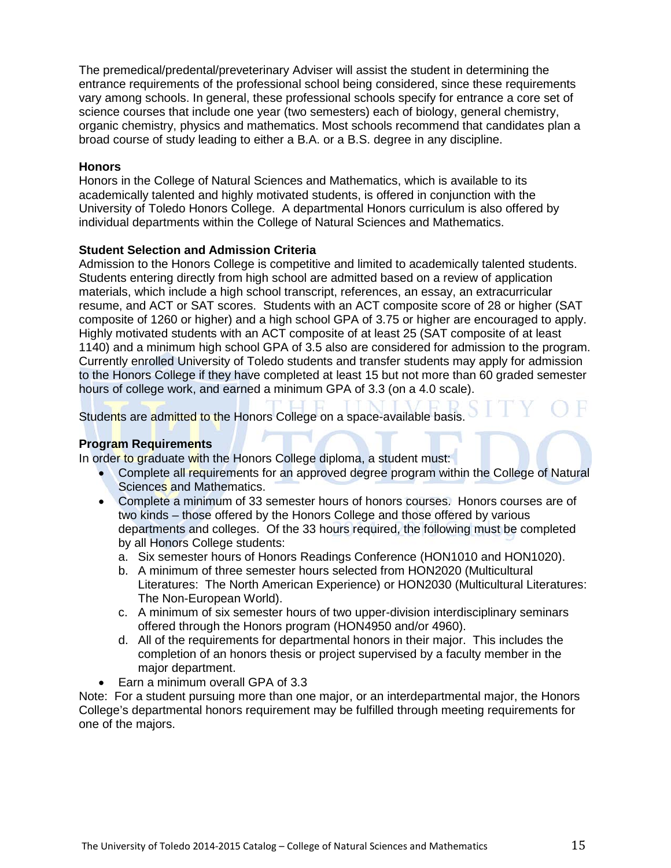The premedical/predental/preveterinary Adviser will assist the student in determining the entrance requirements of the professional school being considered, since these requirements vary among schools. In general, these professional schools specify for entrance a core set of science courses that include one year (two semesters) each of biology, general chemistry, organic chemistry, physics and mathematics. Most schools recommend that candidates plan a broad course of study leading to either a B.A. or a B.S. degree in any discipline.

#### **Honors**

Honors in the College of Natural Sciences and Mathematics, which is available to its academically talented and highly motivated students, is offered in conjunction with the University of Toledo Honors College. A departmental Honors curriculum is also offered by individual departments within the College of Natural Sciences and Mathematics.

#### **Student Selection and Admission Criteria**

Admission to the Honors College is competitive and limited to academically talented students. Students entering directly from high school are admitted based on a review of application materials, which include a high school transcript, references, an essay, an extracurricular resume, and ACT or SAT scores. Students with an ACT composite score of 28 or higher (SAT composite of 1260 or higher) and a high school GPA of 3.75 or higher are encouraged to apply. Highly motivated students with an ACT composite of at least 25 (SAT composite of at least 1140) and a minimum high school GPA of 3.5 also are considered for admission to the program. Currently enrolled University of Toledo students and transfer students may apply for admission to the Honors College if they have completed at least 15 but not more than 60 graded semester hours of college work, and earned a minimum GPA of 3.3 (on a 4.0 scale).

Students are admitted to the Honors College on a space-available basis.

#### **Program Requirements**

In order to graduate with the Honors College diploma, a student must:

- Complete all requirements for an approved degree program within the College of Natural Sciences and Mathematics.
- Complete a minimum of 33 semester hours of honors courses. Honors courses are of two kinds – those offered by the Honors College and those offered by various departments and colleges. Of the 33 hours required, the following must be completed by all Honors College students:
	- a. Six semester hours of Honors Readings Conference (HON1010 and HON1020).
	- b. A minimum of three semester hours selected from HON2020 (Multicultural Literatures: The North American Experience) or HON2030 (Multicultural Literatures: The Non-European World).
	- c. A minimum of six semester hours of two upper-division interdisciplinary seminars offered through the Honors program (HON4950 and/or 4960).
	- d. All of the requirements for departmental honors in their major. This includes the completion of an honors thesis or project supervised by a faculty member in the major department.
- Earn a minimum overall GPA of 3.3

Note: For a student pursuing more than one major, or an interdepartmental major, the Honors College's departmental honors requirement may be fulfilled through meeting requirements for one of the majors.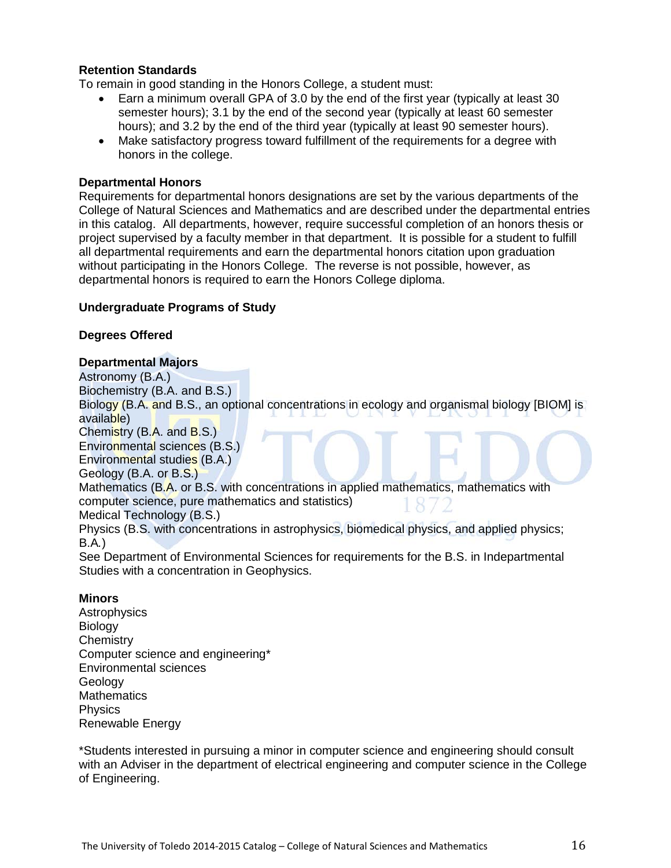#### **Retention Standards**

To remain in good standing in the Honors College, a student must:

- Earn a minimum overall GPA of 3.0 by the end of the first year (typically at least 30 semester hours); 3.1 by the end of the second year (typically at least 60 semester hours); and 3.2 by the end of the third year (typically at least 90 semester hours).
- Make satisfactory progress toward fulfillment of the requirements for a degree with honors in the college.

#### **Departmental Honors**

Requirements for departmental honors designations are set by the various departments of the College of Natural Sciences and Mathematics and are described under the departmental entries in this catalog. All departments, however, require successful completion of an honors thesis or project supervised by a faculty member in that department. It is possible for a student to fulfill all departmental requirements and earn the departmental honors citation upon graduation without participating in the Honors College. The reverse is not possible, however, as departmental honors is required to earn the Honors College diploma.

#### **Undergraduate Programs of Study**

#### **Degrees Offered**

#### **Departmental Majors**

Astronomy (B.A.)

Biochemistry (B.A. and B.S.)

Biology (B.A. and B.S., an optional concentrations in ecology and organismal biology [BIOM] is available)

Chemistry (B.A. and B.S.)

Environmental sciences (B.S.)

Environmental studies (B.A.)

Geology (B.A. or B.S.)

Mathematics (B.A. or B.S. with concentrations in applied mathematics, mathematics with computer science, pure mathematics and statistics)

Medical Technology (B.S.)

Physics (B.S. with concentrations in astrophysics, biomedical physics, and applied physics; B.A*.*)

See Department of Environmental Sciences for requirements for the B.S. in Indepartmental Studies with a concentration in Geophysics.

#### **Minors**

**Astrophysics** Biology **Chemistry** Computer science and engineering\* Environmental sciences Geology **Mathematics Physics** Renewable Energy

\*Students interested in pursuing a minor in computer science and engineering should consult with an Adviser in the department of electrical engineering and computer science in the College of Engineering.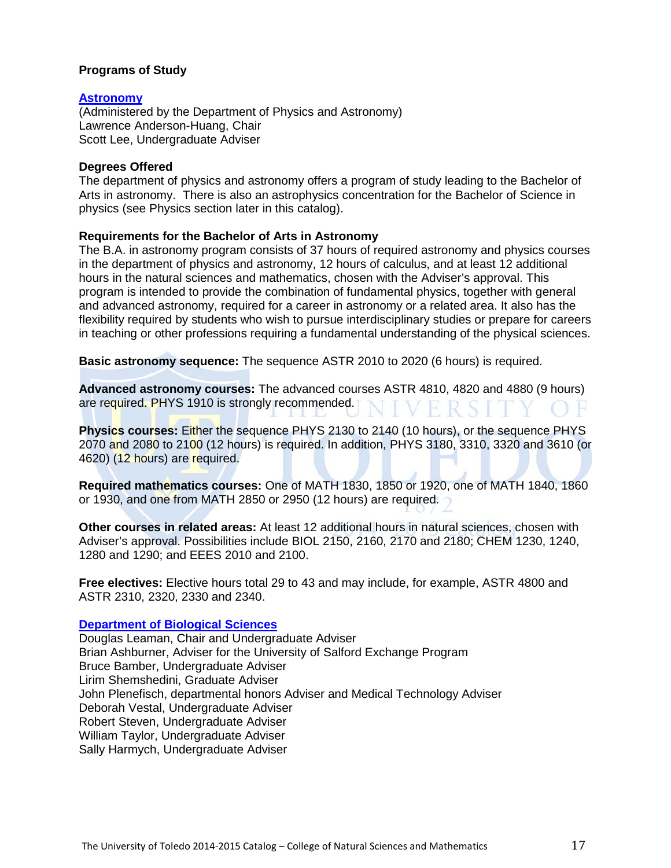#### **Programs of Study**

#### **[Astronomy](http://www.utoledo.edu/nsm/physast/index.html)**

(Administered by the Department of Physics and Astronomy) Lawrence Anderson-Huang, Chair Scott Lee, Undergraduate Adviser

#### **Degrees Offered**

The department of physics and astronomy offers a program of study leading to the Bachelor of Arts in astronomy. There is also an astrophysics concentration for the Bachelor of Science in physics (see Physics section later in this catalog).

#### **Requirements for the Bachelor of Arts in Astronomy**

The B.A. in astronomy program consists of 37 hours of required astronomy and physics courses in the department of physics and astronomy, 12 hours of calculus, and at least 12 additional hours in the natural sciences and mathematics, chosen with the Adviser's approval. This program is intended to provide the combination of fundamental physics, together with general and advanced astronomy, required for a career in astronomy or a related area. It also has the flexibility required by students who wish to pursue interdisciplinary studies or prepare for careers in teaching or other professions requiring a fundamental understanding of the physical sciences.

**Basic astronomy sequence:** The sequence ASTR 2010 to 2020 (6 hours) is required.

**Advanced astronomy courses:** The advanced courses ASTR 4810, 4820 and 4880 (9 hours) are required. PHYS 1910 is strongly recommended. FRS

**Physics courses:** Either the sequence PHYS 2130 to 2140 (10 hours), or the sequence PHYS 2070 and 2080 to 2100 (12 hours) is required. In addition, PHYS 3180, 3310, 3320 and 3610 (or 4620) (12 hours) are required.

**Required mathematics courses:** One of MATH 1830, 1850 or 1920, one of MATH 1840, 1860 or 1930, and one from MATH 2850 or 2950 (12 hours) are required.

**Other courses in related areas:** At least 12 additional hours in natural sciences, chosen with Adviser's approval. Possibilities include BIOL 2150, 2160, 2170 and 2180; CHEM 1230, 1240, 1280 and 1290; and EEES 2010 and 2100.

**Free electives:** Elective hours total 29 to 43 and may include, for example, ASTR 4800 and ASTR 2310, 2320, 2330 and 2340.

#### **[Department of Biological Sciences](http://www.utoledo.edu/nsm/bio/index.html)**

Douglas Leaman, Chair and Undergraduate Adviser Brian Ashburner, Adviser for the University of Salford Exchange Program Bruce Bamber, Undergraduate Adviser Lirim Shemshedini, Graduate Adviser John Plenefisch, departmental honors Adviser and Medical Technology Adviser Deborah Vestal, Undergraduate Adviser Robert Steven, Undergraduate Adviser William Taylor, Undergraduate Adviser Sally Harmych, Undergraduate Adviser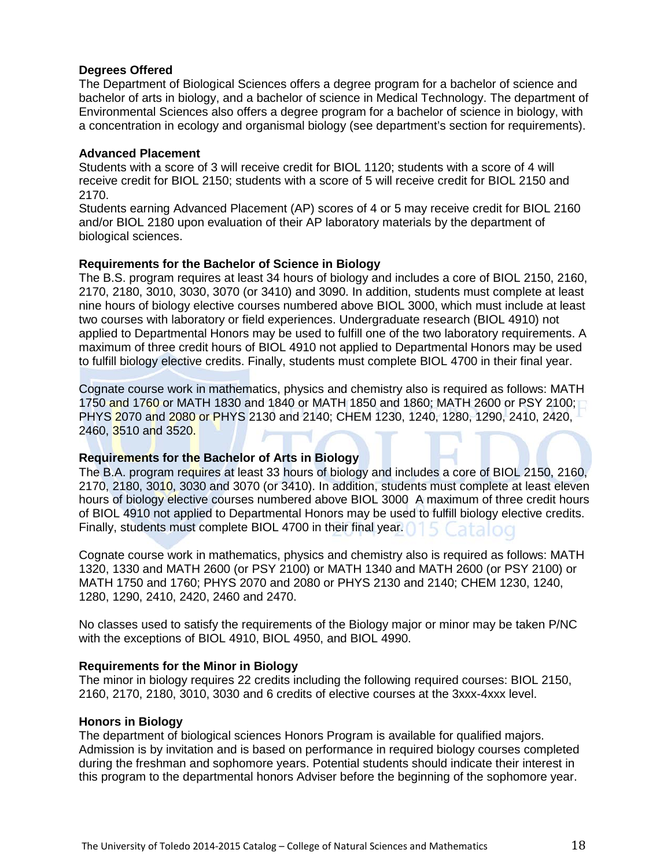#### **Degrees Offered**

The Department of Biological Sciences offers a degree program for a bachelor of science and bachelor of arts in biology, and a bachelor of science in Medical Technology. The department of Environmental Sciences also offers a degree program for a bachelor of science in biology, with a concentration in ecology and organismal biology (see department's section for requirements).

#### **Advanced Placement**

Students with a score of 3 will receive credit for BIOL 1120; students with a score of 4 will receive credit for BIOL 2150; students with a score of 5 will receive credit for BIOL 2150 and 2170.

Students earning Advanced Placement (AP) scores of 4 or 5 may receive credit for BIOL 2160 and/or BIOL 2180 upon evaluation of their AP laboratory materials by the department of biological sciences.

#### **Requirements for the Bachelor of Science in Biology**

The B.S. program requires at least 34 hours of biology and includes a core of BIOL 2150, 2160, 2170, 2180, 3010, 3030, 3070 (or 3410) and 3090. In addition, students must complete at least nine hours of biology elective courses numbered above BIOL 3000, which must include at least two courses with laboratory or field experiences. Undergraduate research (BIOL 4910) not applied to Departmental Honors may be used to fulfill one of the two laboratory requirements. A maximum of three credit hours of BIOL 4910 not applied to Departmental Honors may be used to fulfill biology elective credits. Finally, students must complete BIOL 4700 in their final year.

Cognate course work in mathematics, physics and chemistry also is required as follows: MATH 1750 and 1760 or MATH 1830 and 1840 or MATH 1850 and 1860; MATH 2600 or PSY 2100; PHYS 2070 and 2080 or PHYS 2130 and 2140; CHEM 1230, 1240, 1280, 1290, 2410, 2420, 2460, 3510 and 3520.

#### **Requirements for the Bachelor of Arts in Biology**

The B.A. program requires at least 33 hours of biology and includes a core of BIOL 2150, 2160, 2170, 2180, 3010, 3030 and 3070 (or 3410). In addition, students must complete at least eleven hours of biology elective courses numbered above BIOL 3000 A maximum of three credit hours of BIOL 4910 not applied to Departmental Honors may be used to fulfill biology elective credits. Finally, students must complete BIOL 4700 in their final year.

Cognate course work in mathematics, physics and chemistry also is required as follows: MATH 1320, 1330 and MATH 2600 (or PSY 2100) or MATH 1340 and MATH 2600 (or PSY 2100) or MATH 1750 and 1760; PHYS 2070 and 2080 or PHYS 2130 and 2140; CHEM 1230, 1240, 1280, 1290, 2410, 2420, 2460 and 2470.

No classes used to satisfy the requirements of the Biology major or minor may be taken P/NC with the exceptions of BIOL 4910, BIOL 4950, and BIOL 4990.

#### **Requirements for the Minor in Biology**

The minor in biology requires 22 credits including the following required courses: BIOL 2150, 2160, 2170, 2180, 3010, 3030 and 6 credits of elective courses at the 3xxx-4xxx level.

#### **Honors in Biology**

The department of biological sciences Honors Program is available for qualified majors. Admission is by invitation and is based on performance in required biology courses completed during the freshman and sophomore years. Potential students should indicate their interest in this program to the departmental honors Adviser before the beginning of the sophomore year.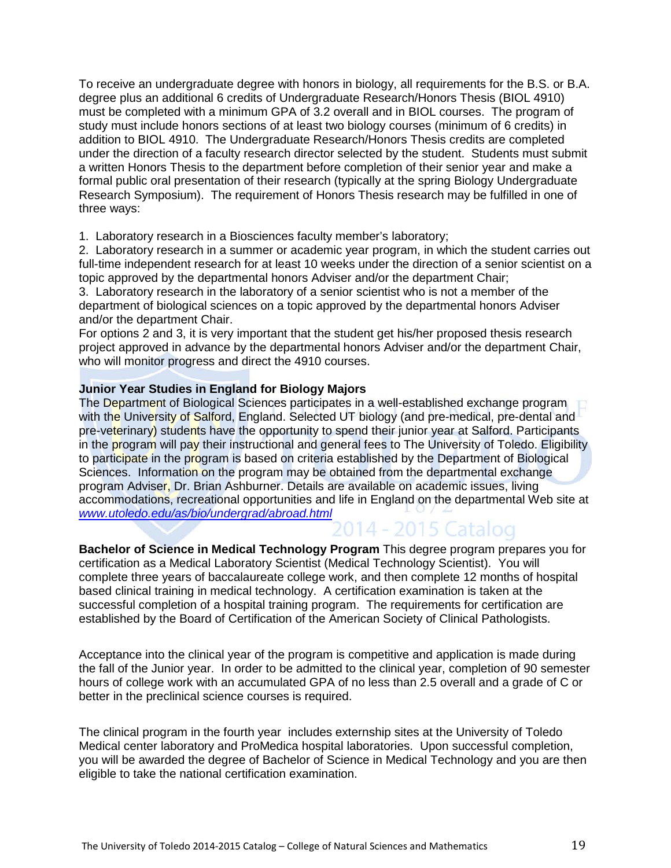To receive an undergraduate degree with honors in biology, all requirements for the B.S. or B.A. degree plus an additional 6 credits of Undergraduate Research/Honors Thesis (BIOL 4910) must be completed with a minimum GPA of 3.2 overall and in BIOL courses. The program of study must include honors sections of at least two biology courses (minimum of 6 credits) in addition to BIOL 4910. The Undergraduate Research/Honors Thesis credits are completed under the direction of a faculty research director selected by the student. Students must submit a written Honors Thesis to the department before completion of their senior year and make a formal public oral presentation of their research (typically at the spring Biology Undergraduate Research Symposium). The requirement of Honors Thesis research may be fulfilled in one of three ways:

1. Laboratory research in a Biosciences faculty member's laboratory;

2. Laboratory research in a summer or academic year program, in which the student carries out full-time independent research for at least 10 weeks under the direction of a senior scientist on a topic approved by the departmental honors Adviser and/or the department Chair;

3. Laboratory research in the laboratory of a senior scientist who is not a member of the department of biological sciences on a topic approved by the departmental honors Adviser and/or the department Chair.

For options 2 and 3, it is very important that the student get his/her proposed thesis research project approved in advance by the departmental honors Adviser and/or the department Chair, who will monitor progress and direct the 4910 courses.

#### **Junior Year Studies in England for Biology Majors**

The Department of Biological Sciences participates in a well-established exchange program with the University of Salford, England. Selected UT biology (and pre-medical, pre-dental and pre-veterinary) students have the opportunity to spend their junior year at Salford. Participants in the program will pay their instructional and general fees to The University of Toledo. Eligibility to participate in the program is based on criteria established by the Department of Biological Sciences. Information on the program may be obtained from the departmental exchange program Adviser, Dr. Brian Ashburner. Details are available on academic issues, living accommodations, recreational opportunities and life in England on the departmental Web site at *[www.utoledo.edu/as/bio/undergrad/abroad.html](http://www.utoledo.edu/as/bio/undergrad/abroad.html)*

**Bachelor of Science in Medical Technology Program** This degree program prepares you for certification as a Medical Laboratory Scientist (Medical Technology Scientist). You will complete three years of baccalaureate college work, and then complete 12 months of hospital based clinical training in medical technology. A certification examination is taken at the successful completion of a hospital training program. The requirements for certification are established by the Board of Certification of the American Society of Clinical Pathologists.

Acceptance into the clinical year of the program is competitive and application is made during the fall of the Junior year. In order to be admitted to the clinical year, completion of 90 semester hours of college work with an accumulated GPA of no less than 2.5 overall and a grade of C or better in the preclinical science courses is required.

The clinical program in the fourth year includes externship sites at the University of Toledo Medical center laboratory and ProMedica hospital laboratories. Upon successful completion, you will be awarded the degree of Bachelor of Science in Medical Technology and you are then eligible to take the national certification examination.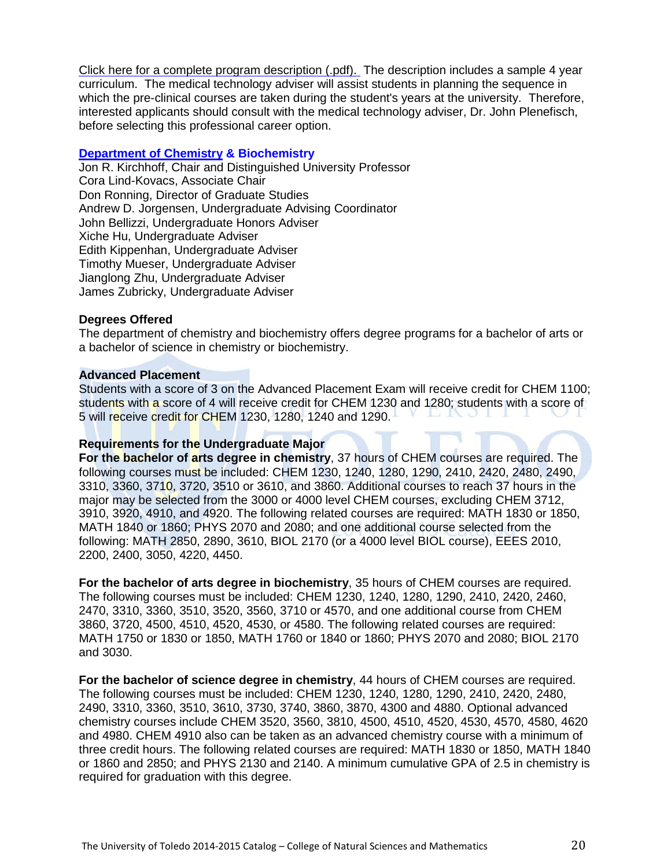[Click here for a complete program description \(.pdf\).](http://www.utoledo.edu/nsm/bio/pdfs/Bachelor%20of%20Science%20in%20Medical%20Technology%20draft%20flyer.pdf) The description includes a sample 4 year curriculum. The medical technology adviser will assist students in planning the sequence in which the pre-clinical courses are taken during the student's years at the university. Therefore, interested applicants should consult with the medical technology adviser, Dr. John Plenefisch, before selecting this professional career option.

#### **[Department of Chemistry](http://www.utoledo.edu/nsm/chemistry/index.html) & Biochemistry**

Jon R. Kirchhoff, Chair and Distinguished University Professor Cora Lind-Kovacs, Associate Chair Don Ronning, Director of Graduate Studies Andrew D. Jorgensen, Undergraduate Advising Coordinator John Bellizzi, Undergraduate Honors Adviser Xiche Hu, Undergraduate Adviser Edith Kippenhan, Undergraduate Adviser Timothy Mueser, Undergraduate Adviser Jianglong Zhu, Undergraduate Adviser James Zubricky, Undergraduate Adviser

#### **Degrees Offered**

The department of chemistry and biochemistry offers degree programs for a bachelor of arts or a bachelor of science in chemistry or biochemistry.

#### **Advanced Placement**

Students with a score of 3 on the Advanced Placement Exam will receive credit for CHEM 1100; students with a score of 4 will receive credit for CHEM 1230 and 1280; students with a score of 5 will receive credit for CHEM 1230, 1280, 1240 and 1290.

#### **Requirements for the Undergraduate Major**

**For the bachelor of arts degree in chemistry**, 37 hours of CHEM courses are required. The following courses must be included: CHEM 1230, 1240, 1280, 1290, 2410, 2420, 2480, 2490, 3310, 3360, 3710, 3720, 3510 or 3610, and 3860. Additional courses to reach 37 hours in the major may be selected from the 3000 or 4000 level CHEM courses, excluding CHEM 3712, 3910, 3920, 4910, and 4920. The following related courses are required: MATH 1830 or 1850, MATH 1840 or 1860; PHYS 2070 and 2080; and one additional course selected from the following: MATH 2850, 2890, 3610, BIOL 2170 (or a 4000 level BIOL course), EEES 2010, 2200, 2400, 3050, 4220, 4450.

**For the bachelor of arts degree in biochemistry**, 35 hours of CHEM courses are required. The following courses must be included: CHEM 1230, 1240, 1280, 1290, 2410, 2420, 2460, 2470, 3310, 3360, 3510, 3520, 3560, 3710 or 4570, and one additional course from CHEM 3860, 3720, 4500, 4510, 4520, 4530, or 4580. The following related courses are required: MATH 1750 or 1830 or 1850, MATH 1760 or 1840 or 1860; PHYS 2070 and 2080; BIOL 2170 and 3030.

**For the bachelor of science degree in chemistry**, 44 hours of CHEM courses are required. The following courses must be included: CHEM 1230, 1240, 1280, 1290, 2410, 2420, 2480, 2490, 3310, 3360, 3510, 3610, 3730, 3740, 3860, 3870, 4300 and 4880. Optional advanced chemistry courses include CHEM 3520, 3560, 3810, 4500, 4510, 4520, 4530, 4570, 4580, 4620 and 4980. CHEM 4910 also can be taken as an advanced chemistry course with a minimum of three credit hours. The following related courses are required: MATH 1830 or 1850, MATH 1840 or 1860 and 2850; and PHYS 2130 and 2140. A minimum cumulative GPA of 2.5 in chemistry is required for graduation with this degree.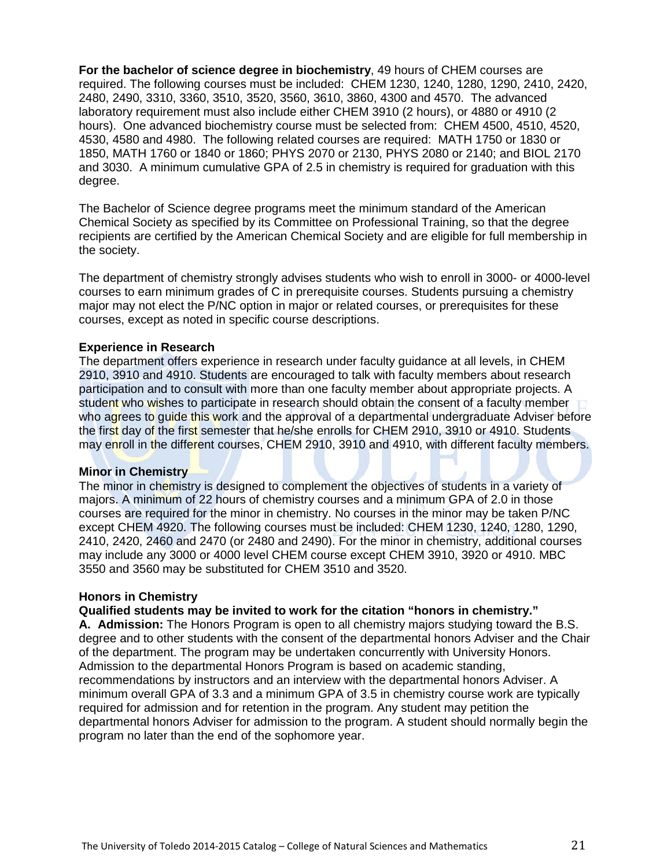**For the bachelor of science degree in biochemistry**, 49 hours of CHEM courses are required. The following courses must be included: CHEM 1230, 1240, 1280, 1290, 2410, 2420, 2480, 2490, 3310, 3360, 3510, 3520, 3560, 3610, 3860, 4300 and 4570. The advanced laboratory requirement must also include either CHEM 3910 (2 hours), or 4880 or 4910 (2 hours). One advanced biochemistry course must be selected from: CHEM 4500, 4510, 4520, 4530, 4580 and 4980. The following related courses are required: MATH 1750 or 1830 or 1850, MATH 1760 or 1840 or 1860; PHYS 2070 or 2130, PHYS 2080 or 2140; and BIOL 2170 and 3030. A minimum cumulative GPA of 2.5 in chemistry is required for graduation with this degree.

The Bachelor of Science degree programs meet the minimum standard of the American Chemical Society as specified by its Committee on Professional Training, so that the degree recipients are certified by the American Chemical Society and are eligible for full membership in the society.

The department of chemistry strongly advises students who wish to enroll in 3000- or 4000-level courses to earn minimum grades of C in prerequisite courses. Students pursuing a chemistry major may not elect the P/NC option in major or related courses, or prerequisites for these courses, except as noted in specific course descriptions.

#### **Experience in Research**

The department offers experience in research under faculty guidance at all levels, in CHEM 2910, 3910 and 4910. Students are encouraged to talk with faculty members about research participation and to consult with more than one faculty member about appropriate projects. A student who wishes to participate in research should obtain the consent of a faculty member who agrees to guide this work and the approval of a departmental undergraduate Adviser before the first day of the first semester that he/she enrolls for CHEM 2910, 3910 or 4910. Students may enroll in the different courses, CHEM 2910, 3910 and 4910, with different faculty members.

#### **Minor in Chemistry**

The minor in chemistry is designed to complement the objectives of students in a variety of majors. A minimum of 22 hours of chemistry courses and a minimum GPA of 2.0 in those courses are required for the minor in chemistry. No courses in the minor may be taken P/NC except CHEM 4920. The following courses must be included: CHEM 1230, 1240, 1280, 1290, 2410, 2420, 2460 and 2470 (or 2480 and 2490). For the minor in chemistry, additional courses may include any 3000 or 4000 level CHEM course except CHEM 3910, 3920 or 4910. MBC 3550 and 3560 may be substituted for CHEM 3510 and 3520.

#### **Honors in Chemistry**

#### **Qualified students may be invited to work for the citation "honors in chemistry."**

**A. Admission:** The Honors Program is open to all chemistry majors studying toward the B.S. degree and to other students with the consent of the departmental honors Adviser and the Chair of the department. The program may be undertaken concurrently with University Honors. Admission to the departmental Honors Program is based on academic standing, recommendations by instructors and an interview with the departmental honors Adviser. A minimum overall GPA of 3.3 and a minimum GPA of 3.5 in chemistry course work are typically required for admission and for retention in the program. Any student may petition the departmental honors Adviser for admission to the program. A student should normally begin the program no later than the end of the sophomore year.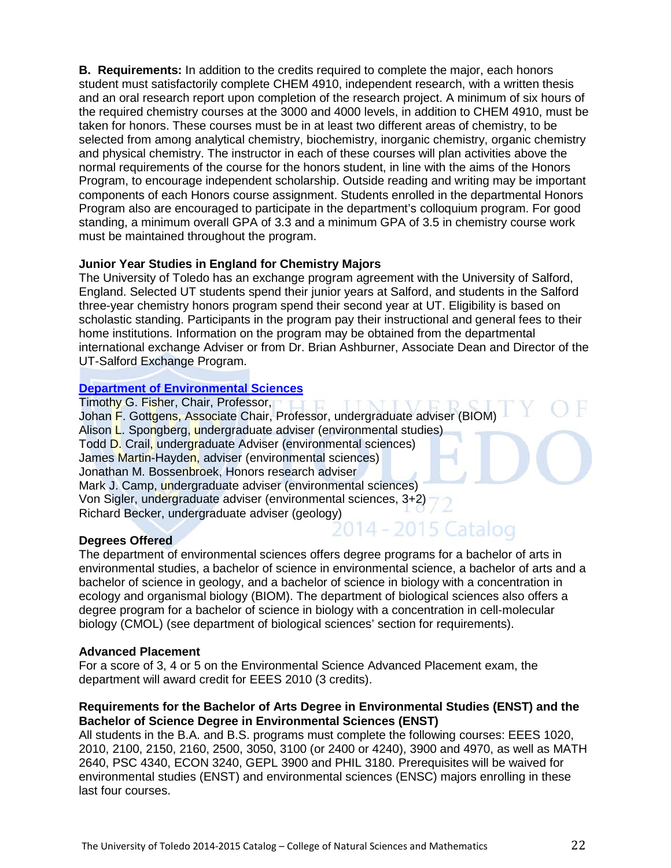**B. Requirements:** In addition to the credits required to complete the major, each honors student must satisfactorily complete CHEM 4910, independent research, with a written thesis and an oral research report upon completion of the research project. A minimum of six hours of the required chemistry courses at the 3000 and 4000 levels, in addition to CHEM 4910, must be taken for honors. These courses must be in at least two different areas of chemistry, to be selected from among analytical chemistry, biochemistry, inorganic chemistry, organic chemistry and physical chemistry. The instructor in each of these courses will plan activities above the normal requirements of the course for the honors student, in line with the aims of the Honors Program, to encourage independent scholarship. Outside reading and writing may be important components of each Honors course assignment. Students enrolled in the departmental Honors Program also are encouraged to participate in the department's colloquium program. For good standing, a minimum overall GPA of 3.3 and a minimum GPA of 3.5 in chemistry course work must be maintained throughout the program.

#### **Junior Year Studies in England for Chemistry Majors**

The University of Toledo has an exchange program agreement with the University of Salford, England. Selected UT students spend their junior years at Salford, and students in the Salford three-year chemistry honors program spend their second year at UT. Eligibility is based on scholastic standing. Participants in the program pay their instructional and general fees to their home institutions. Information on the program may be obtained from the departmental international exchange Adviser or from Dr. Brian Ashburner, Associate Dean and Director of the UT-Salford Exchange Program.

#### **[Department of Environmental Sciences](http://www.utoledo.edu/nsm/envsciences/index.html)**

Timothy G. Fisher, Chair, Professor. Johan F. Gottgens, Associate Chair, Professor, undergraduate adviser (BIOM) Alison L. Spongberg, undergraduate adviser (environmental studies) Todd D. Crail, undergraduate Adviser (environmental sciences) James Martin-Hayden, adviser (environmental sciences) Jonathan M. Bossenbroek, Honors research adviser Mark J. Camp, undergraduate adviser (environmental sciences) Von Sigler, undergraduate adviser (environmental sciences, 3+2) Richard Becker, undergraduate adviser (geology)<br>2015 Catalog

#### **Degrees Offered**

The department of environmental sciences offers degree programs for a bachelor of arts in environmental studies, a bachelor of science in environmental science, a bachelor of arts and a bachelor of science in geology, and a bachelor of science in biology with a concentration in ecology and organismal biology (BIOM). The department of biological sciences also offers a degree program for a bachelor of science in biology with a concentration in cell-molecular biology (CMOL) (see department of biological sciences' section for requirements).

#### **Advanced Placement**

For a score of 3, 4 or 5 on the Environmental Science Advanced Placement exam, the department will award credit for EEES 2010 (3 credits).

#### **Requirements for the Bachelor of Arts Degree in Environmental Studies (ENST) and the Bachelor of Science Degree in Environmental Sciences (ENST)**

All students in the B.A. and B.S. programs must complete the following courses: EEES 1020, 2010, 2100, 2150, 2160, 2500, 3050, 3100 (or 2400 or 4240), 3900 and 4970, as well as MATH 2640, PSC 4340, ECON 3240, GEPL 3900 and PHIL 3180. Prerequisites will be waived for environmental studies (ENST) and environmental sciences (ENSC) majors enrolling in these last four courses.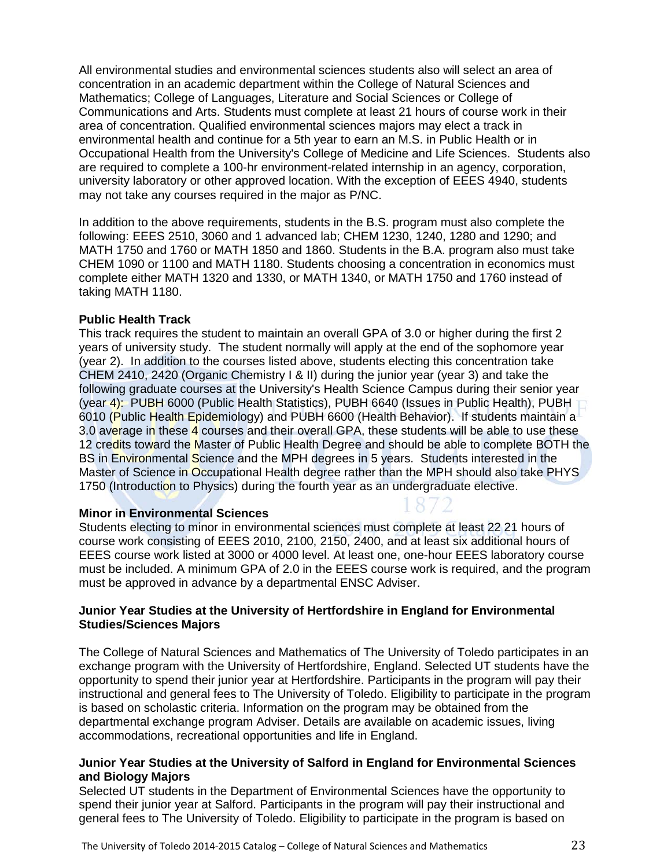All environmental studies and environmental sciences students also will select an area of concentration in an academic department within the College of Natural Sciences and Mathematics; College of Languages, Literature and Social Sciences or College of Communications and Arts. Students must complete at least 21 hours of course work in their area of concentration. Qualified environmental sciences majors may elect a track in environmental health and continue for a 5th year to earn an M.S. in Public Health or in Occupational Health from the University's College of Medicine and Life Sciences. Students also are required to complete a 100-hr environment-related internship in an agency, corporation, university laboratory or other approved location. With the exception of EEES 4940, students may not take any courses required in the major as P/NC.

In addition to the above requirements, students in the B.S. program must also complete the following: EEES 2510, 3060 and 1 advanced lab; CHEM 1230, 1240, 1280 and 1290; and MATH 1750 and 1760 or MATH 1850 and 1860. Students in the B.A. program also must take CHEM 1090 or 1100 and MATH 1180. Students choosing a concentration in economics must complete either MATH 1320 and 1330, or MATH 1340, or MATH 1750 and 1760 instead of taking MATH 1180.

#### **Public Health Track**

This track requires the student to maintain an overall GPA of 3.0 or higher during the first 2 years of university study. The student normally will apply at the end of the sophomore year (year 2). In addition to the courses listed above, students electing this concentration take CHEM 2410, 2420 (Organic Chemistry I & II) during the junior year (year 3) and take the following graduate courses at the University's Health Science Campus during their senior year (year 4): PUBH 6000 (Public Health Statistics), PUBH 6640 (Issues in Public Health), PUBH 6010 (Public Health Epidemiology) and PUBH 6600 (Health Behavior). If students maintain a 3.0 average in these 4 courses and their overall GPA, these students will be able to use these 12 credits toward the Master of Public Health Degree and should be able to complete BOTH the BS in Environmental Science and the MPH degrees in 5 years. Students interested in the Master of Science in Occupational Health degree rather than the MPH should also take PHYS 1750 (Introduction to Physics) during the fourth year as an undergraduate elective.

#### **Minor in Environmental Sciences**

Students electing to minor in environmental sciences must complete at least 22 21 hours of course work consisting of EEES 2010, 2100, 2150, 2400, and at least six additional hours of EEES course work listed at 3000 or 4000 level. At least one, one-hour EEES laboratory course must be included. A minimum GPA of 2.0 in the EEES course work is required, and the program must be approved in advance by a departmental ENSC Adviser.

#### **Junior Year Studies at the University of Hertfordshire in England for Environmental Studies/Sciences Majors**

The College of Natural Sciences and Mathematics of The University of Toledo participates in an exchange program with the University of Hertfordshire, England. Selected UT students have the opportunity to spend their junior year at Hertfordshire. Participants in the program will pay their instructional and general fees to The University of Toledo. Eligibility to participate in the program is based on scholastic criteria. Information on the program may be obtained from the departmental exchange program Adviser. Details are available on academic issues, living accommodations, recreational opportunities and life in England.

#### **Junior Year Studies at the University of Salford in England for Environmental Sciences and Biology Majors**

Selected UT students in the Department of Environmental Sciences have the opportunity to spend their junior year at Salford. Participants in the program will pay their instructional and general fees to The University of Toledo. Eligibility to participate in the program is based on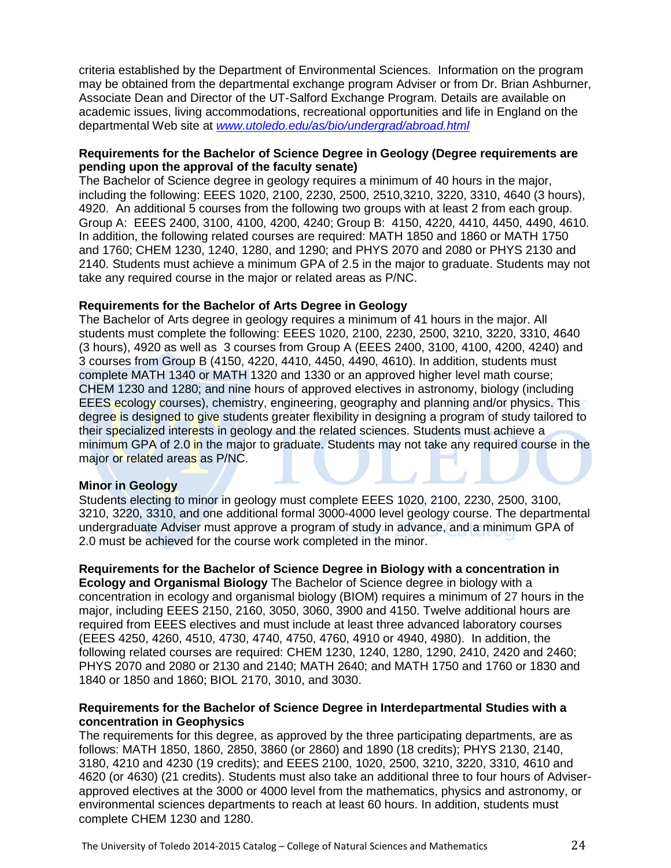criteria established by the Department of Environmental Sciences. Information on the program may be obtained from the departmental exchange program Adviser or from Dr. Brian Ashburner, Associate Dean and Director of the UT-Salford Exchange Program. Details are available on academic issues, living accommodations, recreational opportunities and life in England on the departmental Web site at *[www.utoledo.edu/as/bio/undergrad/abroad.html](http://www.utoledo.edu/as/bio/undergrad/abroad.html)*

#### **Requirements for the Bachelor of Science Degree in Geology (Degree requirements are pending upon the approval of the faculty senate)**

The Bachelor of Science degree in geology requires a minimum of 40 hours in the major, including the following: EEES 1020, 2100, 2230, 2500, 2510,3210, 3220, 3310, 4640 (3 hours), 4920. An additional 5 courses from the following two groups with at least 2 from each group. Group A: EEES 2400, 3100, 4100, 4200, 4240; Group B: 4150, 4220, 4410, 4450, 4490, 4610. In addition, the following related courses are required: MATH 1850 and 1860 or MATH 1750 and 1760; CHEM 1230, 1240, 1280, and 1290; and PHYS 2070 and 2080 or PHYS 2130 and 2140. Students must achieve a minimum GPA of 2.5 in the major to graduate. Students may not take any required course in the major or related areas as P/NC.

#### **Requirements for the Bachelor of Arts Degree in Geology**

The Bachelor of Arts degree in geology requires a minimum of 41 hours in the major. All students must complete the following: EEES 1020, 2100, 2230, 2500, 3210, 3220, 3310, 4640 (3 hours), 4920 as well as 3 courses from Group A (EEES 2400, 3100, 4100, 4200, 4240) and 3 courses from Group B (4150, 4220, 4410, 4450, 4490, 4610). In addition, students must complete MATH 1340 or MATH 1320 and 1330 or an approved higher level math course; CHEM 1230 and 1280; and nine hours of approved electives in astronomy, biology (including EEES ecology courses), chemistry, engineering, geography and planning and/or physics. This degree is designed to give students greater flexibility in designing a program of study tailored to their specialized interests in geology and the related sciences. Students must achieve a minimum GPA of 2.0 in the major to graduate. Students may not take any required course in the major or related areas as P/NC.

#### **Minor in Geology**

Students electing to minor in geology must complete EEES 1020, 2100, 2230, 2500, 3100, 3210, 3220, 3310, and one additional formal 3000-4000 level geology course. The departmental undergraduate Adviser must approve a program of study in advance, and a minimum GPA of 2.0 must be achieved for the course work completed in the minor.

**Requirements for the Bachelor of Science Degree in Biology with a concentration in Ecology and Organismal Biology** The Bachelor of Science degree in biology with a concentration in ecology and organismal biology (BIOM) requires a minimum of 27 hours in the major, including EEES 2150, 2160, 3050, 3060, 3900 and 4150. Twelve additional hours are required from EEES electives and must include at least three advanced laboratory courses (EEES 4250, 4260, 4510, 4730, 4740, 4750, 4760, 4910 or 4940, 4980). In addition, the following related courses are required: CHEM 1230, 1240, 1280, 1290, 2410, 2420 and 2460; PHYS 2070 and 2080 or 2130 and 2140; MATH 2640; and MATH 1750 and 1760 or 1830 and 1840 or 1850 and 1860; BIOL 2170, 3010, and 3030.

#### **Requirements for the Bachelor of Science Degree in Interdepartmental Studies with a concentration in Geophysics**

The requirements for this degree, as approved by the three participating departments, are as follows: MATH 1850, 1860, 2850, 3860 (or 2860) and 1890 (18 credits); PHYS 2130, 2140, 3180, 4210 and 4230 (19 credits); and EEES 2100, 1020, 2500, 3210, 3220, 3310, 4610 and 4620 (or 4630) (21 credits). Students must also take an additional three to four hours of Adviserapproved electives at the 3000 or 4000 level from the mathematics, physics and astronomy, or environmental sciences departments to reach at least 60 hours. In addition, students must complete CHEM 1230 and 1280.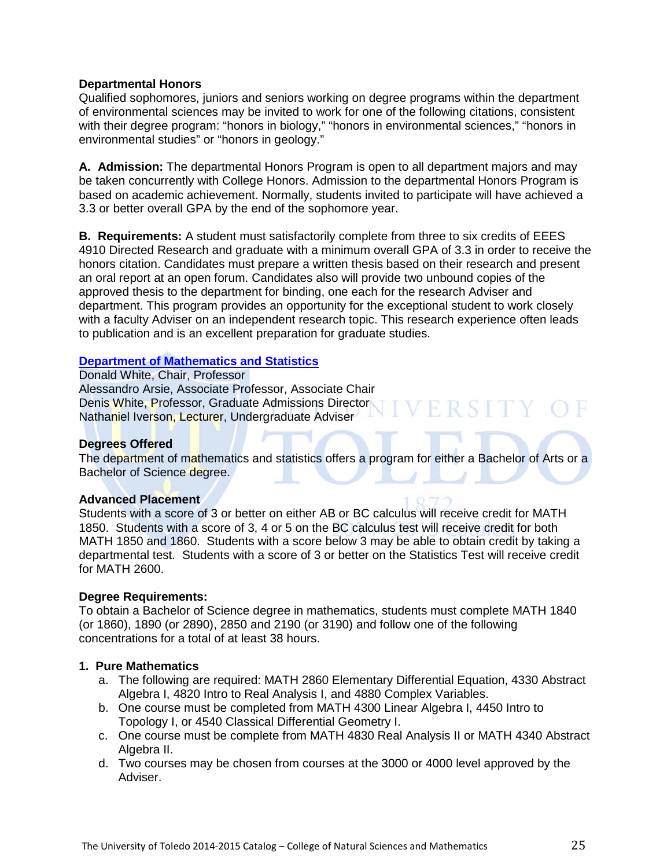#### **Departmental Honors**

Qualified sophomores, juniors and seniors working on degree programs within the department of environmental sciences may be invited to work for one of the following citations, consistent with their degree program: "honors in biology," "honors in environmental sciences," "honors in environmental studies" or "honors in geology."

**A. Admission:** The departmental Honors Program is open to all department majors and may be taken concurrently with College Honors. Admission to the departmental Honors Program is based on academic achievement. Normally, students invited to participate will have achieved a 3.3 or better overall GPA by the end of the sophomore year.

**B. Requirements:** A student must satisfactorily complete from three to six credits of EEES 4910 Directed Research and graduate with a minimum overall GPA of 3.3 in order to receive the honors citation. Candidates must prepare a written thesis based on their research and present an oral report at an open forum. Candidates also will provide two unbound copies of the approved thesis to the department for binding, one each for the research Adviser and department. This program provides an opportunity for the exceptional student to work closely with a faculty Adviser on an independent research topic. This research experience often leads to publication and is an excellent preparation for graduate studies.

#### **[Department of Mathematics and Statistics](http://www.math.utoledo.edu/)**

Donald White, Chair, Professor Alessandro Arsie, Associate Professor, Associate Chair Denis White, Professor, Graduate Admissions Director Nathaniel Iverson, Lecturer, Undergraduate Adviser

#### **Degrees Offered**

The department of mathematics and statistics offers a program for either a Bachelor of Arts or a Bachelor of Science degree.

#### **Advanced Placement**

Students with a score of 3 or better on either AB or BC calculus will receive credit for MATH 1850. Students with a score of 3, 4 or 5 on the BC calculus test will receive credit for both MATH 1850 and 1860. Students with a score below 3 may be able to obtain credit by taking a departmental test. Students with a score of 3 or better on the Statistics Test will receive credit for MATH 2600.

#### **Degree Requirements:**

To obtain a Bachelor of Science degree in mathematics, students must complete MATH 1840 (or 1860), 1890 (or 2890), 2850 and 2190 (or 3190) and follow one of the following concentrations for a total of at least 38 hours.

#### **1. Pure Mathematics**

- a. The following are required: MATH 2860 Elementary Differential Equation, 4330 Abstract Algebra I, 4820 Intro to Real Analysis I, and 4880 Complex Variables.
- b. One course must be completed from MATH 4300 Linear Algebra I, 4450 Intro to Topology I, or 4540 Classical Differential Geometry I.
- c. One course must be complete from MATH 4830 Real Analysis II or MATH 4340 Abstract Algebra II.
- d. Two courses may be chosen from courses at the 3000 or 4000 level approved by the Adviser.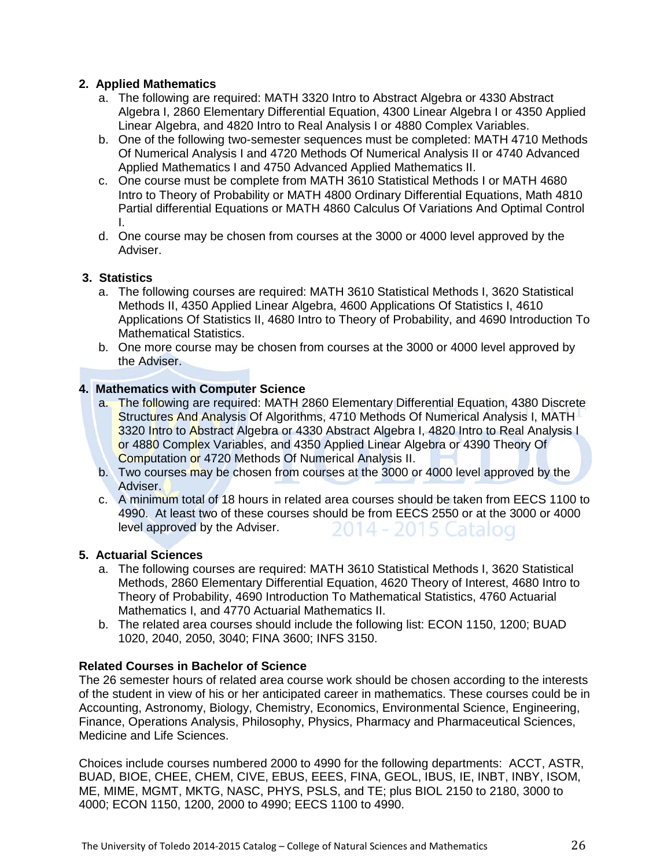#### **2. Applied Mathematics**

- a. The following are required: MATH 3320 Intro to Abstract Algebra or 4330 Abstract Algebra I, 2860 Elementary Differential Equation, 4300 Linear Algebra I or 4350 Applied Linear Algebra, and 4820 Intro to Real Analysis I or 4880 Complex Variables.
- b. One of the following two-semester sequences must be completed: MATH 4710 Methods Of Numerical Analysis I and 4720 Methods Of Numerical Analysis II or 4740 Advanced Applied Mathematics I and 4750 Advanced Applied Mathematics II.
- c. One course must be complete from MATH 3610 Statistical Methods I or MATH 4680 Intro to Theory of Probability or MATH 4800 Ordinary Differential Equations, Math 4810 Partial differential Equations or MATH 4860 Calculus Of Variations And Optimal Control I.
- d. One course may be chosen from courses at the 3000 or 4000 level approved by the Adviser.

#### **3. Statistics**

- a. The following courses are required: MATH 3610 Statistical Methods I, 3620 Statistical Methods II, 4350 Applied Linear Algebra, 4600 Applications Of Statistics I, 4610 Applications Of Statistics II, 4680 Intro to Theory of Probability, and 4690 Introduction To Mathematical Statistics.
- b. One more course may be chosen from courses at the 3000 or 4000 level approved by the Adviser.

#### **4. Mathematics with Computer Science**

- a. The following are required: MATH 2860 Elementary Differential Equation, 4380 Discrete Structures And Analysis Of Algorithms, 4710 Methods Of Numerical Analysis I, MATH 3320 Intro to Abstract Algebra or 4330 Abstract Algebra I, 4820 Intro to Real Analysis I or 4880 Complex Variables, and 4350 Applied Linear Algebra or 4390 Theory Of Computation or 4720 Methods Of Numerical Analysis II.
- b. Two courses may be chosen from courses at the 3000 or 4000 level approved by the Adviser.
- c. A minimum total of 18 hours in related area courses should be taken from EECS 1100 to 4990. At least two of these courses should be from EECS 2550 or at the 3000 or 4000 level approved by the Adviser. 2014 - 2015 Catalog

#### **5. Actuarial Sciences**

- a. The following courses are required: MATH 3610 Statistical Methods I, 3620 Statistical Methods, 2860 Elementary Differential Equation, 4620 Theory of Interest, 4680 Intro to Theory of Probability, 4690 Introduction To Mathematical Statistics, 4760 Actuarial Mathematics I, and 4770 Actuarial Mathematics II.
- b. The related area courses should include the following list: ECON 1150, 1200; BUAD 1020, 2040, 2050, 3040; FINA 3600; INFS 3150.

#### **Related Courses in Bachelor of Science**

The 26 semester hours of related area course work should be chosen according to the interests of the student in view of his or her anticipated career in mathematics. These courses could be in Accounting, Astronomy, Biology, Chemistry, Economics, Environmental Science, Engineering, Finance, Operations Analysis, Philosophy, Physics, Pharmacy and Pharmaceutical Sciences, Medicine and Life Sciences.

Choices include courses numbered 2000 to 4990 for the following departments: ACCT, ASTR, BUAD, BIOE, CHEE, CHEM, CIVE, EBUS, EEES, FINA, GEOL, IBUS, IE, INBT, INBY, ISOM, ME, MIME, MGMT, MKTG, NASC, PHYS, PSLS, and TE; plus BIOL 2150 to 2180, 3000 to 4000; ECON 1150, 1200, 2000 to 4990; EECS 1100 to 4990.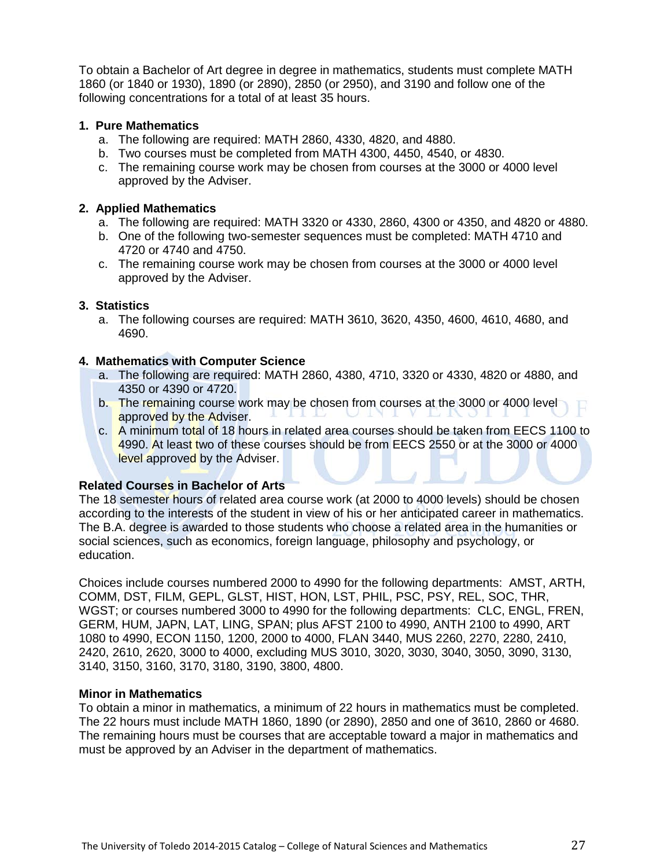To obtain a Bachelor of Art degree in degree in mathematics, students must complete MATH 1860 (or 1840 or 1930), 1890 (or 2890), 2850 (or 2950), and 3190 and follow one of the following concentrations for a total of at least 35 hours.

#### **1. Pure Mathematics**

- a. The following are required: MATH 2860, 4330, 4820, and 4880.
- b. Two courses must be completed from MATH 4300, 4450, 4540, or 4830.
- c. The remaining course work may be chosen from courses at the 3000 or 4000 level approved by the Adviser.

#### **2. Applied Mathematics**

- a. The following are required: MATH 3320 or 4330, 2860, 4300 or 4350, and 4820 or 4880.
- b. One of the following two-semester sequences must be completed: MATH 4710 and 4720 or 4740 and 4750.
- c. The remaining course work may be chosen from courses at the 3000 or 4000 level approved by the Adviser.

#### **3. Statistics**

a. The following courses are required: MATH 3610, 3620, 4350, 4600, 4610, 4680, and 4690.

#### **4. Mathematics with Computer Science**

- a. The following are required: MATH 2860, 4380, 4710, 3320 or 4330, 4820 or 4880, and 4350 or 4390 or 4720.
- b. The remaining course work may be chosen from courses at the 3000 or 4000 level approved by the Adviser.
- c. A minimum total of 18 hours in related area courses should be taken from EECS 1100 to 4990. At least two of these courses should be from EECS 2550 or at the 3000 or 4000 level approved by the Adviser.

#### **Related Courses in Bachelor of Arts**

The 18 semester hours of related area course work (at 2000 to 4000 levels) should be chosen according to the interests of the student in view of his or her anticipated career in mathematics. The B.A. degree is awarded to those students who choose a related area in the humanities or social sciences, such as economics, foreign language, philosophy and psychology, or education.

Choices include courses numbered 2000 to 4990 for the following departments: AMST, ARTH, COMM, DST, FILM, GEPL, GLST, HIST, HON, LST, PHIL, PSC, PSY, REL, SOC, THR, WGST; or courses numbered 3000 to 4990 for the following departments: CLC, ENGL, FREN, GERM, HUM, JAPN, LAT, LING, SPAN; plus AFST 2100 to 4990, ANTH 2100 to 4990, ART 1080 to 4990, ECON 1150, 1200, 2000 to 4000, FLAN 3440, MUS 2260, 2270, 2280, 2410, 2420, 2610, 2620, 3000 to 4000, excluding MUS 3010, 3020, 3030, 3040, 3050, 3090, 3130, 3140, 3150, 3160, 3170, 3180, 3190, 3800, 4800.

#### **Minor in Mathematics**

To obtain a minor in mathematics, a minimum of 22 hours in mathematics must be completed. The 22 hours must include MATH 1860, 1890 (or 2890), 2850 and one of 3610, 2860 or 4680. The remaining hours must be courses that are acceptable toward a major in mathematics and must be approved by an Adviser in the department of mathematics.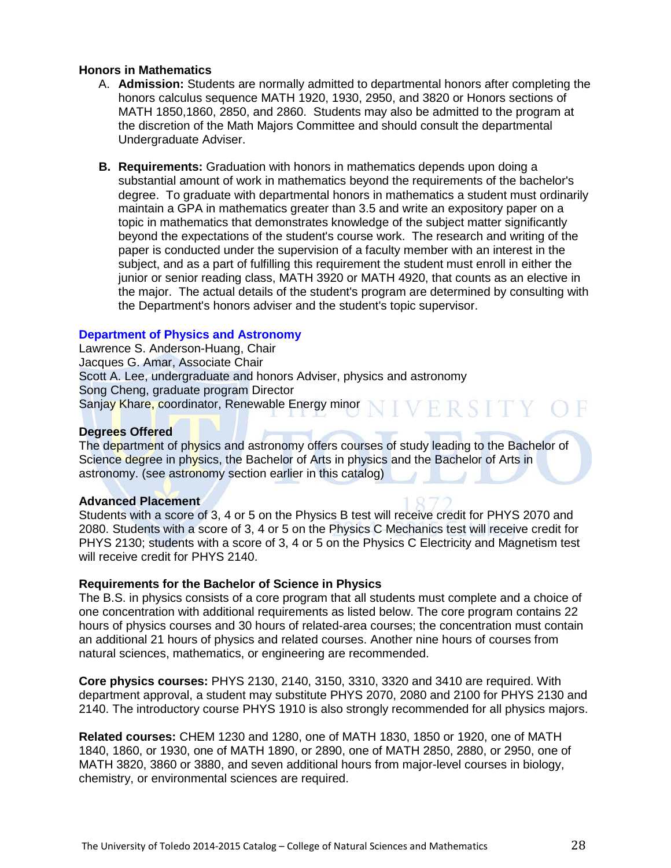#### **Honors in Mathematics**

- A. **Admission:** Students are normally admitted to departmental honors after completing the honors calculus sequence MATH 1920, 1930, 2950, and 3820 or Honors sections of MATH 1850,1860, 2850, and 2860. Students may also be admitted to the program at the discretion of the Math Majors Committee and should consult the departmental Undergraduate Adviser.
- **B. Requirements:** Graduation with honors in mathematics depends upon doing a substantial amount of work in mathematics beyond the requirements of the bachelor's degree. To graduate with departmental honors in mathematics a student must ordinarily maintain a GPA in mathematics greater than 3.5 and write an expository paper on a topic in mathematics that demonstrates knowledge of the subject matter significantly beyond the expectations of the student's course work. The research and writing of the paper is conducted under the supervision of a faculty member with an interest in the subject, and as a part of fulfilling this requirement the student must enroll in either the junior or senior reading class, MATH 3920 or MATH 4920, that counts as an elective in the major. The actual details of the student's program are determined by consulting with the Department's honors adviser and the student's topic supervisor.

#### **[Department of Physics and Astronomy](http://www.utoledo.edu/nsm/physast/index.html)**

Lawrence S. Anderson-Huang, Chair Jacques G. Amar, Associate Chair Scott A. Lee, undergraduate and honors Adviser, physics and astronomy Song Cheng, graduate program Director VERSITY O Sanjay Khare, coordinator, Renewable Energy minor

#### **Degrees Offered**

The department of physics and astronomy offers courses of study leading to the Bachelor of Science degree in physics, the Bachelor of Arts in physics and the Bachelor of Arts in astronomy. (see astronomy section earlier in this catalog)

#### **Advanced Placement**

Students with a score of 3, 4 or 5 on the Physics B test will receive credit for PHYS 2070 and 2080. Students with a score of 3, 4 or 5 on the Physics C Mechanics test will receive credit for PHYS 2130; students with a score of 3, 4 or 5 on the Physics C Electricity and Magnetism test will receive credit for PHYS 2140.

#### **Requirements for the Bachelor of Science in Physics**

The B.S. in physics consists of a core program that all students must complete and a choice of one concentration with additional requirements as listed below. The core program contains 22 hours of physics courses and 30 hours of related-area courses; the concentration must contain an additional 21 hours of physics and related courses. Another nine hours of courses from natural sciences, mathematics, or engineering are recommended.

**Core physics courses:** PHYS 2130, 2140, 3150, 3310, 3320 and 3410 are required. With department approval, a student may substitute PHYS 2070, 2080 and 2100 for PHYS 2130 and 2140. The introductory course PHYS 1910 is also strongly recommended for all physics majors.

**Related courses:** CHEM 1230 and 1280, one of MATH 1830, 1850 or 1920, one of MATH 1840, 1860, or 1930, one of MATH 1890, or 2890, one of MATH 2850, 2880, or 2950, one of MATH 3820, 3860 or 3880, and seven additional hours from major-level courses in biology, chemistry, or environmental sciences are required.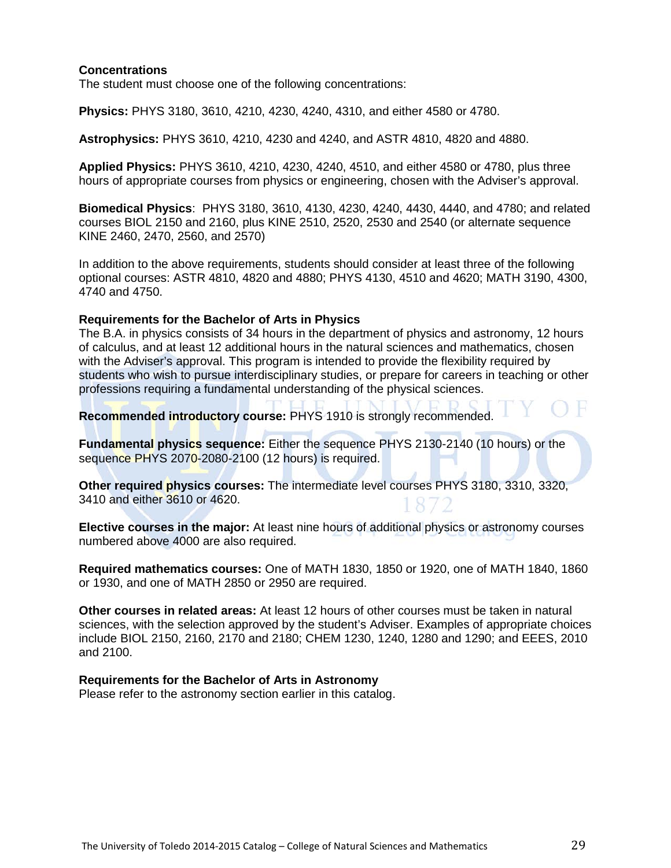#### **Concentrations**

The student must choose one of the following concentrations:

**Physics:** PHYS 3180, 3610, 4210, 4230, 4240, 4310, and either 4580 or 4780.

**Astrophysics:** PHYS 3610, 4210, 4230 and 4240, and ASTR 4810, 4820 and 4880.

**Applied Physics:** PHYS 3610, 4210, 4230, 4240, 4510, and either 4580 or 4780, plus three hours of appropriate courses from physics or engineering, chosen with the Adviser's approval.

**Biomedical Physics**: PHYS 3180, 3610, 4130, 4230, 4240, 4430, 4440, and 4780; and related courses BIOL 2150 and 2160, plus KINE 2510, 2520, 2530 and 2540 (or alternate sequence KINE 2460, 2470, 2560, and 2570)

In addition to the above requirements, students should consider at least three of the following optional courses: ASTR 4810, 4820 and 4880; PHYS 4130, 4510 and 4620; MATH 3190, 4300, 4740 and 4750.

#### **Requirements for the Bachelor of Arts in Physics**

The B.A. in physics consists of 34 hours in the department of physics and astronomy, 12 hours of calculus, and at least 12 additional hours in the natural sciences and mathematics, chosen with the Adviser's approval. This program is intended to provide the flexibility required by students who wish to pursue interdisciplinary studies, or prepare for careers in teaching or other professions requiring a fundamental understanding of the physical sciences.

**Recommended introductory course:** PHYS 1910 is strongly recommended.

**Fundamental physics sequence:** Either the sequence PHYS 2130-2140 (10 hours) or the sequence PHYS 2070-2080-2100 (12 hours) is required.

**Other required physics courses:** The intermediate level courses PHYS 3180, 3310, 3320, 3410 and either 3610 or 4620.

**Elective courses in the major:** At least nine hours of additional physics or astronomy courses numbered above 4000 are also required.

**Required mathematics courses:** One of MATH 1830, 1850 or 1920, one of MATH 1840, 1860 or 1930, and one of MATH 2850 or 2950 are required.

**Other courses in related areas:** At least 12 hours of other courses must be taken in natural sciences, with the selection approved by the student's Adviser. Examples of appropriate choices include BIOL 2150, 2160, 2170 and 2180; CHEM 1230, 1240, 1280 and 1290; and EEES, 2010 and 2100.

#### **Requirements for the Bachelor of Arts in Astronomy**

Please refer to the astronomy section earlier in this catalog.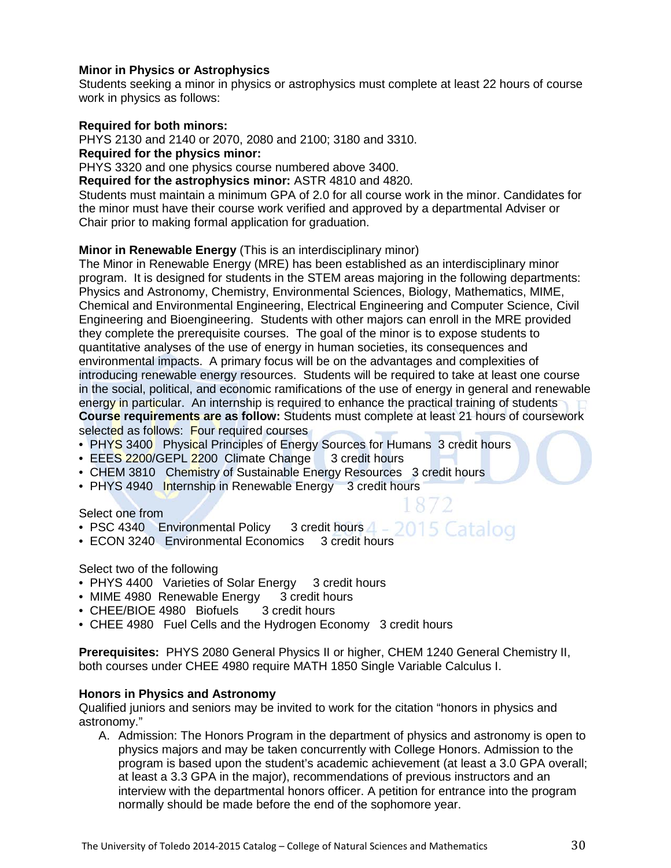#### **Minor in Physics or Astrophysics**

Students seeking a minor in physics or astrophysics must complete at least 22 hours of course work in physics as follows:

#### **Required for both minors:**

PHYS 2130 and 2140 or 2070, 2080 and 2100; 3180 and 3310.

**Required for the physics minor:**

PHYS 3320 and one physics course numbered above 3400.

**Required for the astrophysics minor:** ASTR 4810 and 4820.

Students must maintain a minimum GPA of 2.0 for all course work in the minor. Candidates for the minor must have their course work verified and approved by a departmental Adviser or Chair prior to making formal application for graduation.

#### **Minor in Renewable Energy** (This is an interdisciplinary minor)

The Minor in Renewable Energy (MRE) has been established as an interdisciplinary minor program. It is designed for students in the STEM areas majoring in the following departments: Physics and Astronomy, Chemistry, Environmental Sciences, Biology, Mathematics, MIME, Chemical and Environmental Engineering, Electrical Engineering and Computer Science, Civil Engineering and Bioengineering. Students with other majors can enroll in the MRE provided they complete the prerequisite courses. The goal of the minor is to expose students to quantitative analyses of the use of energy in human societies, its consequences and environmental impacts. A primary focus will be on the advantages and complexities of introducing renewable energy resources. Students will be required to take at least one course in the social, political, and economic ramifications of the use of energy in general and renewable energy in particular. An internship is required to enhance the practical training of students **Course requirements are as follow:** Students must complete at least 21 hours of coursework selected as follows: Four required courses

- PHYS 3400 Physical Principles of Energy Sources for Humans 3 credit hours
- EEES 2200/GEPL 2200 Climate Change 3 credit hours
- CHEM 3810 Chemistry of Sustainable Energy Resources 3 credit hours
- PHYS 4940 Internship in Renewable Energy 3 credit hours

#### Select one from

- PSC 4340 Environmental Policy 3 credit hours  $4 2015$  Catalog
- ECON 3240 Environmental Economics 3 credit hours

#### Select two of the following

- PHYS 4400 Varieties of Solar Energy 3 credit hours
- MIME 4980 Renewable Energy 3 credit hours
- CHEE/BIOE 4980 Biofuels 3 credit hours
- CHEE 4980 Fuel Cells and the Hydrogen Economy 3 credit hours

**Prerequisites:** PHYS 2080 General Physics II or higher, CHEM 1240 General Chemistry II, both courses under CHEE 4980 require MATH 1850 Single Variable Calculus I.

#### **Honors in Physics and Astronomy**

Qualified juniors and seniors may be invited to work for the citation "honors in physics and astronomy."

A. Admission: The Honors Program in the department of physics and astronomy is open to physics majors and may be taken concurrently with College Honors. Admission to the program is based upon the student's academic achievement (at least a 3.0 GPA overall; at least a 3.3 GPA in the major), recommendations of previous instructors and an interview with the departmental honors officer. A petition for entrance into the program normally should be made before the end of the sophomore year.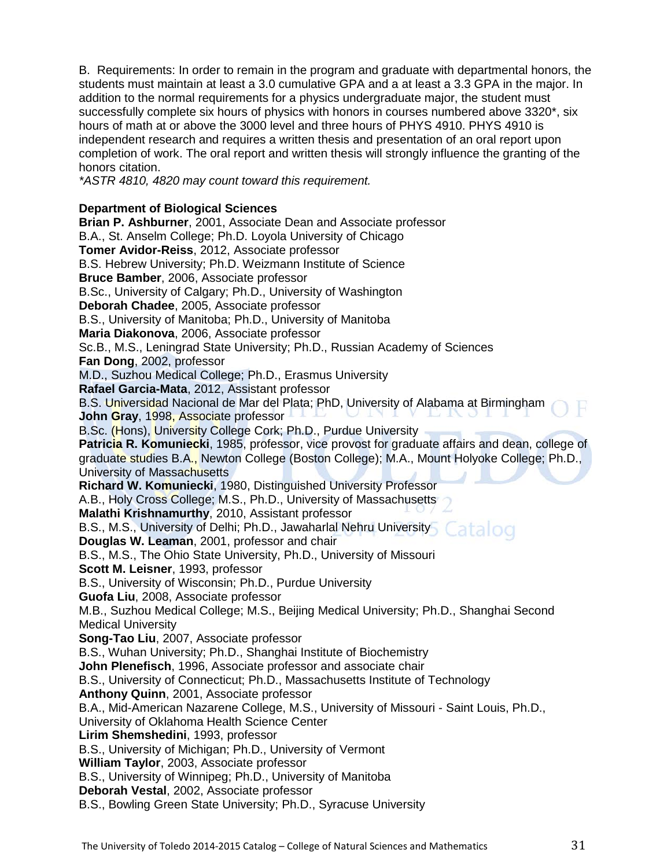B. Requirements: In order to remain in the program and graduate with departmental honors, the students must maintain at least a 3.0 cumulative GPA and a at least a 3.3 GPA in the major. In addition to the normal requirements for a physics undergraduate major, the student must successfully complete six hours of physics with honors in courses numbered above 3320\*, six hours of math at or above the 3000 level and three hours of PHYS 4910. PHYS 4910 is independent research and requires a written thesis and presentation of an oral report upon completion of work. The oral report and written thesis will strongly influence the granting of the honors citation.

*\*ASTR 4810, 4820 may count toward this requirement.* 

#### **Department of Biological Sciences**

**Brian P. Ashburner**, 2001, Associate Dean and Associate professor B.A., St. Anselm College; Ph.D. Loyola University of Chicago **Tomer Avidor-Reiss**, 2012, Associate professor B.S. Hebrew University; Ph.D. Weizmann Institute of Science **Bruce Bamber**, 2006, Associate professor B.Sc., University of Calgary; Ph.D., University of Washington **Deborah Chadee**, 2005, Associate professor B.S., University of Manitoba; Ph.D., University of Manitoba **Maria Diakonova**, 2006, Associate professor Sc.B., M.S., Leningrad State University; Ph.D., Russian Academy of Sciences **Fan Dong**, 2002, professor M.D., Suzhou Medical College; Ph.D., Erasmus University **Rafael Garcia-Mata**, 2012, Assistant professor B.S. Universidad Nacional de Mar del Plata; PhD, University of Alabama at Birmingham **John Gray**, 1998, Associate professor B.Sc. (Hons), University College Cork; Ph.D., Purdue University **Patricia R. Komuniecki**, 1985, professor, vice provost for graduate affairs and dean, college of graduate studies B.A., Newton College (Boston College); M.A., Mount Holyoke College; Ph.D., University of Massachusetts **Richard W. Komuniecki**, 1980, Distinguished University Professor A.B., Holy Cross College; M.S., Ph.D., University of Massachusetts **Malathi Krishnamurthy**, 2010, Assistant professor B.S., M.S., University of Delhi; Ph.D., Jawaharlal Nehru University Catalog **Douglas W. Leaman**, 2001, professor and chair B.S., M.S., The Ohio State University, Ph.D., University of Missouri **Scott M. Leisner**, 1993, professor B.S., University of Wisconsin; Ph.D., Purdue University **Guofa Liu**, 2008, Associate professor M.B., Suzhou Medical College; M.S., Beijing Medical University; Ph.D., Shanghai Second Medical University **Song-Tao Liu**, 2007, Associate professor B.S., Wuhan University; Ph.D., Shanghai Institute of Biochemistry **John Plenefisch**, 1996, Associate professor and associate chair B.S., University of Connecticut; Ph.D., Massachusetts Institute of Technology **Anthony Quinn**, 2001, Associate professor B.A., Mid-American Nazarene College, M.S., University of Missouri - Saint Louis, Ph.D., University of Oklahoma Health Science Center **Lirim Shemshedini**, 1993, professor B.S., University of Michigan; Ph.D., University of Vermont **William Taylor**, 2003, Associate professor B.S., University of Winnipeg; Ph.D., University of Manitoba **Deborah Vestal**, 2002, Associate professor B.S., Bowling Green State University; Ph.D., Syracuse University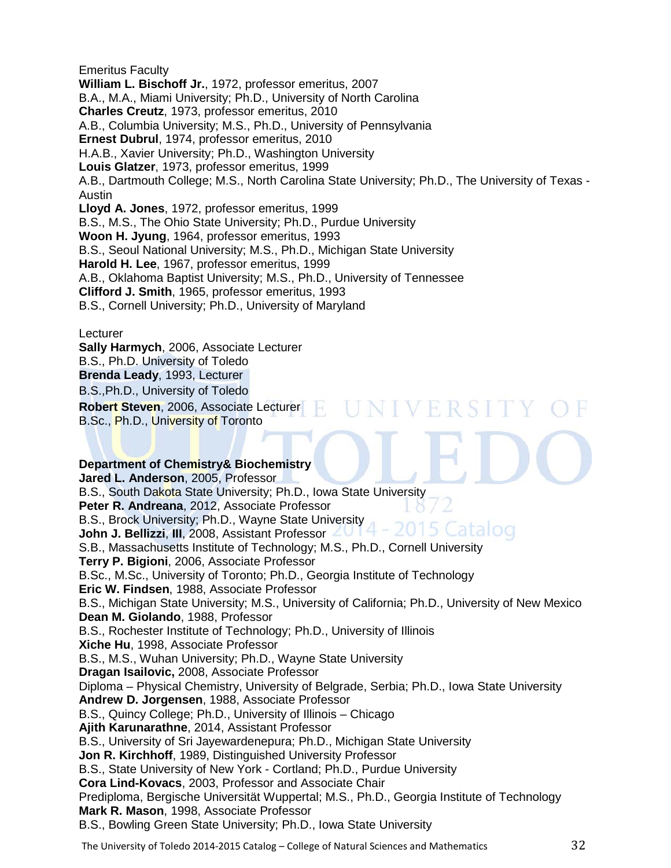Emeritus Faculty **William L. Bischoff Jr.**, 1972, professor emeritus, 2007 B.A., M.A., Miami University; Ph.D., University of North Carolina **Charles Creutz**, 1973, professor emeritus, 2010 A.B., Columbia University; M.S., Ph.D., University of Pennsylvania **Ernest Dubrul**, 1974, professor emeritus, 2010 H.A.B., Xavier University; Ph.D., Washington University **Louis Glatzer**, 1973, professor emeritus, 1999 A.B., Dartmouth College; M.S., North Carolina State University; Ph.D., The University of Texas - Austin **Lloyd A. Jones**, 1972, professor emeritus, 1999 B.S., M.S., The Ohio State University; Ph.D., Purdue University **Woon H. Jyung**, 1964, professor emeritus, 1993 B.S., Seoul National University; M.S., Ph.D., Michigan State University **Harold H. Lee**, 1967, professor emeritus, 1999 A.B., Oklahoma Baptist University; M.S., Ph.D., University of Tennessee **Clifford J. Smith**, 1965, professor emeritus, 1993 B.S., Cornell University; Ph.D., University of Maryland

VERSI

**Lecturer** 

**Sally Harmych**, 2006, Associate Lecturer B.S., Ph.D. University of Toledo **Brenda Leady**, 1993, Lecturer B.S.,Ph.D., University of Toledo **Robert Steven**, 2006, Associate Lecturer B.Sc., Ph.D., University of Toronto

#### **Department of Chemistry& Biochemistry**

**Jared L. Anderson**, 2005, Professor B.S., South Dakota State University; Ph.D., Iowa State University **Peter R. Andreana**, 2012, Associate Professor B.S., Brock University; Ph.D., Wayne State University Catalog **John J. Bellizzi**, **III**, 2008, Assistant Professor S.B., Massachusetts Institute of Technology; M.S., Ph.D., Cornell University **Terry P. Bigioni**, 2006, Associate Professor B.Sc., M.Sc., University of Toronto; Ph.D., Georgia Institute of Technology **Eric W. Findsen**, 1988, Associate Professor B.S., Michigan State University; M.S., University of California; Ph.D., University of New Mexico **Dean M. Giolando**, 1988, Professor B.S., Rochester Institute of Technology; Ph.D., University of Illinois **Xiche Hu**, 1998, Associate Professor B.S., M.S., Wuhan University; Ph.D., Wayne State University **Dragan Isailovic,** 2008, Associate Professor Diploma – Physical Chemistry, University of Belgrade, Serbia; Ph.D., Iowa State University **Andrew D. Jorgensen**, 1988, Associate Professor B.S., Quincy College; Ph.D., University of Illinois – Chicago **Ajith Karunarathne**, 2014, Assistant Professor B.S., University of Sri Jayewardenepura; Ph.D., Michigan State University **Jon R. Kirchhoff**, 1989, Distinguished University Professor B.S., State University of New York - Cortland; Ph.D., Purdue University **Cora Lind-Kovacs**, 2003, Professor and Associate Chair Prediploma, Bergische Universität Wuppertal; M.S., Ph.D., Georgia Institute of Technology **Mark R. Mason**, 1998, Associate Professor B.S., Bowling Green State University; Ph.D., Iowa State University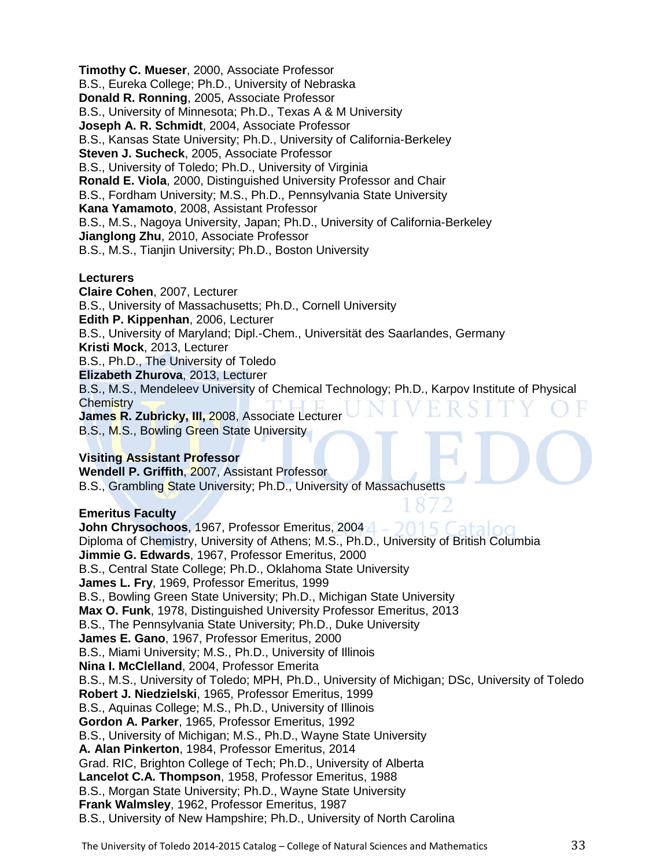**Timothy C. Mueser**, 2000, Associate Professor B.S., Eureka College; Ph.D., University of Nebraska **Donald R. Ronning**, 2005, Associate Professor B.S., University of Minnesota; Ph.D., Texas A & M University **Joseph A. R. Schmidt**, 2004, Associate Professor B.S., Kansas State University; Ph.D., University of California-Berkeley **Steven J. Sucheck**, 2005, Associate Professor B.S., University of Toledo; Ph.D., University of Virginia **Ronald E. Viola**, 2000, Distinguished University Professor and Chair B.S., Fordham University; M.S., Ph.D., Pennsylvania State University **Kana Yamamoto**, 2008, Assistant Professor B.S., M.S., Nagoya University, Japan; Ph.D., University of California-Berkeley **Jianglong Zhu**, 2010, Associate Professor B.S., M.S., Tianjin University; Ph.D., Boston University

#### **Lecturers**

**Claire Cohen**, 2007, Lecturer B.S., University of Massachusetts; Ph.D., Cornell University **Edith P. Kippenhan**, 2006, Lecturer B.S., University of Maryland; Dipl.-Chem., Universität des Saarlandes, Germany **Kristi Mock**, 2013, Lecturer B.S., Ph.D., The University of Toledo **Elizabeth Zhurova**, 2013, Lecturer B.S., M.S., Mendeleev University of Chemical Technology; Ph.D., Karpov Institute of Physical **Chemistry James R. Zubricky, III,** 2008, Associate Lecturer B.S., M.S., Bowling Green State University

#### **Visiting Assistant Professor**

**Wendell P. Griffith**, 2007, Assistant Professor B.S., Grambling State University; Ph.D., University of Massachusetts

#### **Emeritus Faculty**

**John Chrysochoos**, 1967, Professor Emeritus, 2004 Diploma of Chemistry, University of Athens; M.S., Ph.D., University of British Columbia **Jimmie G. Edwards**, 1967, Professor Emeritus, 2000 B.S., Central State College; Ph.D., Oklahoma State University **James L. Fry**, 1969, Professor Emeritus, 1999 B.S., Bowling Green State University; Ph.D., Michigan State University **Max O. Funk**, 1978, Distinguished University Professor Emeritus, 2013 B.S., The Pennsylvania State University; Ph.D., Duke University **James E. Gano**, 1967, Professor Emeritus, 2000 B.S., Miami University; M.S., Ph.D., University of Illinois **Nina I. McClelland**, 2004, Professor Emerita B.S., M.S., University of Toledo; MPH, Ph.D., University of Michigan; DSc, University of Toledo **Robert J. Niedzielski**, 1965, Professor Emeritus, 1999 B.S., Aquinas College; M.S., Ph.D., University of Illinois **Gordon A. Parker**, 1965, Professor Emeritus, 1992 B.S., University of Michigan; M.S., Ph.D., Wayne State University **A. Alan Pinkerton**, 1984, Professor Emeritus, 2014 Grad. RIC, Brighton College of Tech; Ph.D., University of Alberta **Lancelot C.A. Thompson**, 1958, Professor Emeritus, 1988 B.S., Morgan State University; Ph.D., Wayne State University **Frank Walmsley**, 1962, Professor Emeritus, 1987 B.S., University of New Hampshire; Ph.D., University of North Carolina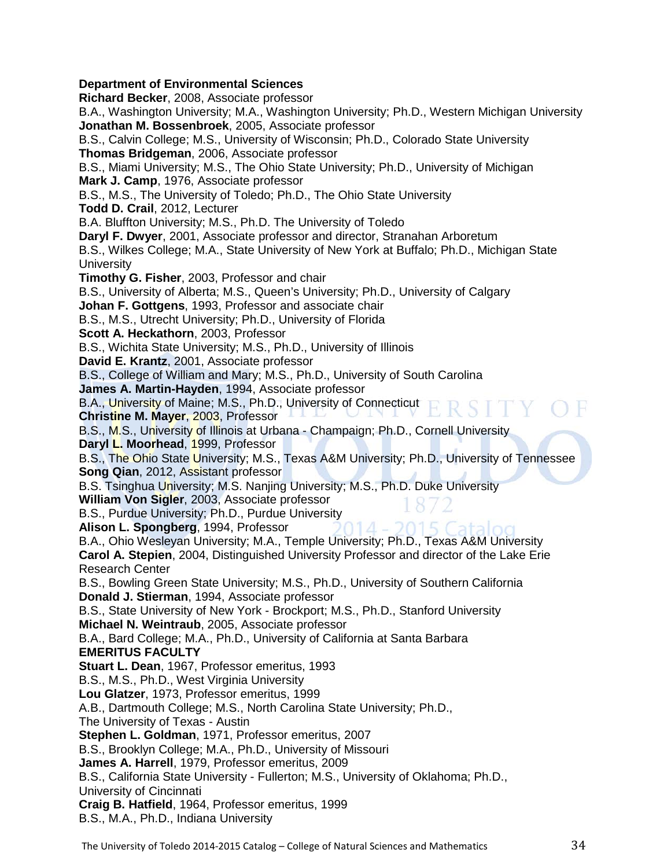#### **Department of Environmental Sciences**

**Richard Becker**, 2008, Associate professor B.A., Washington University; M.A., Washington University; Ph.D., Western Michigan University **Jonathan M. Bossenbroek**, 2005, Associate professor B.S., Calvin College; M.S., University of Wisconsin; Ph.D., Colorado State University **Thomas Bridgeman**, 2006, Associate professor B.S., Miami University; M.S., The Ohio State University; Ph.D., University of Michigan **Mark J. Camp**, 1976, Associate professor B.S., M.S., The University of Toledo; Ph.D., The Ohio State University **Todd D. Crail**, 2012, Lecturer B.A. Bluffton University; M.S., Ph.D. The University of Toledo **Daryl F. Dwyer**, 2001, Associate professor and director, Stranahan Arboretum B.S., Wilkes College; M.A., State University of New York at Buffalo; Ph.D., Michigan State **University Timothy G. Fisher**, 2003, Professor and chair B.S., University of Alberta; M.S., Queen's University; Ph.D., University of Calgary **Johan F. Gottgens**, 1993, Professor and associate chair B.S., M.S., Utrecht University; Ph.D., University of Florida **Scott A. Heckathorn**, 2003, Professor B.S., Wichita State University; M.S., Ph.D., University of Illinois **David E. Krantz**, 2001, Associate professor B.S., College of William and Mary; M.S., Ph.D., University of South Carolina **James A. Martin-Hayden**, 1994, Associate professor B.A., University of Maine; M.S., Ph.D., University of Connecticut RSITY OF **Christine M. Mayer**, 2003, Professor B.S., M.S., University of Illinois at Urbana - Champaign; Ph.D., Cornell University Daryl L. Moorhead, 1999, Professor B.S., The Ohio State University; M.S., Texas A&M University; Ph.D., University of Tennessee **Song Qian**, 2012, Assistant professor B.S. Tsinghua University; M.S. Nanjing University; M.S., Ph.D. Duke University **William Von Sigler**, 2003, Associate professor B.S., Purdue University; Ph.D., Purdue University **Alison L. Spongberg**, 1994, Professor B.A., Ohio Wesleyan University; M.A., Temple University; Ph.D., Texas A&M University **Carol A. Stepien**, 2004, Distinguished University Professor and director of the Lake Erie Research Center B.S., Bowling Green State University; M.S., Ph.D., University of Southern California **Donald J. Stierman**, 1994, Associate professor B.S., State University of New York - Brockport; M.S., Ph.D., Stanford University **Michael N. Weintraub**, 2005, Associate professor B.A., Bard College; M.A., Ph.D., University of California at Santa Barbara **EMERITUS FACULTY Stuart L. Dean**, 1967, Professor emeritus, 1993 B.S., M.S., Ph.D., West Virginia University **Lou Glatzer**, 1973, Professor emeritus, 1999 A.B., Dartmouth College; M.S., North Carolina State University; Ph.D., The University of Texas - Austin **Stephen L. Goldman**, 1971, Professor emeritus, 2007 B.S., Brooklyn College; M.A., Ph.D., University of Missouri **James A. Harrell**, 1979, Professor emeritus, 2009 B.S., California State University - Fullerton; M.S., University of Oklahoma; Ph.D., University of Cincinnati **Craig B. Hatfield**, 1964, Professor emeritus, 1999 B.S., M.A., Ph.D., Indiana University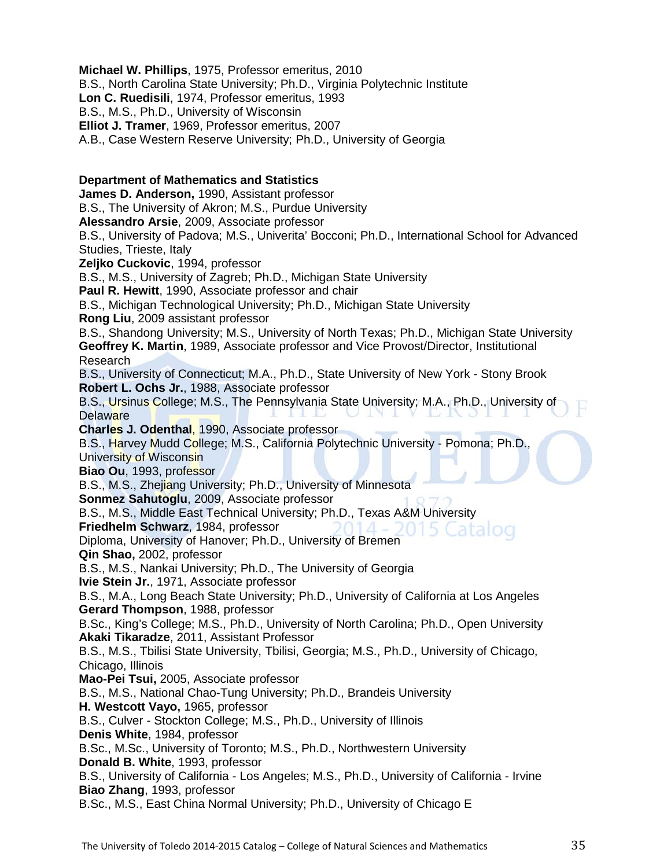**Michael W. Phillips**, 1975, Professor emeritus, 2010 B.S., North Carolina State University; Ph.D., Virginia Polytechnic Institute **Lon C. Ruedisili**, 1974, Professor emeritus, 1993 B.S., M.S., Ph.D., University of Wisconsin **Elliot J. Tramer**, 1969, Professor emeritus, 2007 A.B., Case Western Reserve University; Ph.D., University of Georgia **Department of Mathematics and Statistics James D. Anderson,** 1990, Assistant professor B.S., The University of Akron; M.S., Purdue University **Alessandro Arsie**, 2009, Associate professor B.S., University of Padova; M.S., Univerita' Bocconi; Ph.D., International School for Advanced Studies, Trieste, Italy **Zeljko Cuckovic**, 1994, professor B.S., M.S., University of Zagreb; Ph.D., Michigan State University **Paul R. Hewitt**, 1990, Associate professor and chair B.S., Michigan Technological University; Ph.D., Michigan State University **Rong Liu**, 2009 assistant professor B.S., Shandong University; M.S., University of North Texas; Ph.D., Michigan State University **Geoffrey K. Martin**, 1989, Associate professor and Vice Provost/Director, Institutional Research B.S., University of Connecticut; M.A., Ph.D., State University of New York - Stony Brook **Robert L. Ochs Jr.**, 1988, Associate professor B.S., Ursinus College; M.S., The Pennsylvania State University; M.A., Ph.D., University of **Delaware Charles J. Odenthal**, 1990, Associate professor B.S., Harvey Mudd College; M.S., California Polytechnic University - Pomona; Ph.D., University of Wisconsin **Biao Ou**, 1993, professor B.S., M.S., Zhejiang University; Ph.D., University of Minnesota **Sonmez Sahutoglu**, 2009, Associate professor B.S., M.S., Middle East Technical University; Ph.D., Texas A&M University **Friedhelm Schwarz**, 1984, professor Diploma, University of Hanover; Ph.D., University of Bremen **Qin Shao,** 2002, professor B.S., M.S., Nankai University; Ph.D., The University of Georgia **Ivie Stein Jr.**, 1971, Associate professor B.S., M.A., Long Beach State University; Ph.D., University of California at Los Angeles **Gerard Thompson**, 1988, professor B.Sc., King's College; M.S., Ph.D., University of North Carolina; Ph.D., Open University **Akaki Tikaradze**, 2011, Assistant Professor B.S., M.S., Tbilisi State University, Tbilisi, Georgia; M.S., Ph.D., University of Chicago, Chicago, Illinois **Mao-Pei Tsui,** 2005, Associate professor B.S., M.S., National Chao-Tung University; Ph.D., Brandeis University **H. Westcott Vayo,** 1965, professor B.S., Culver - Stockton College; M.S., Ph.D., University of Illinois **Denis White**, 1984, professor B.Sc., M.Sc., University of Toronto; M.S., Ph.D., Northwestern University **Donald B. White**, 1993, professor B.S., University of California - Los Angeles; M.S., Ph.D., University of California - Irvine **Biao Zhang**, 1993, professor B.Sc., M.S., East China Normal University; Ph.D., University of Chicago E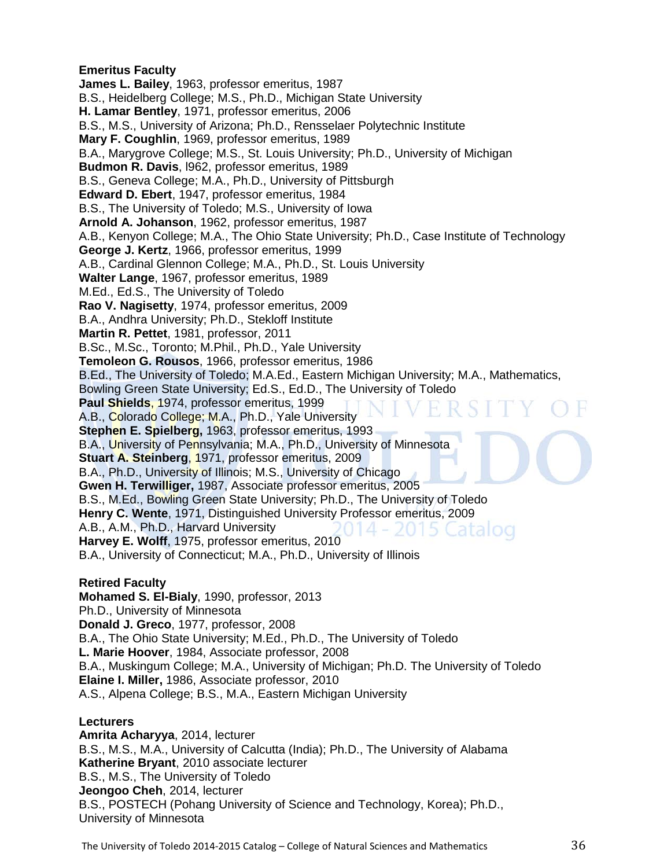#### **Emeritus Faculty**

**James L. Bailey**, 1963, professor emeritus, 1987 B.S., Heidelberg College; M.S., Ph.D., Michigan State University **H. Lamar Bentley**, 1971, professor emeritus, 2006 B.S., M.S., University of Arizona; Ph.D., Rensselaer Polytechnic Institute **Mary F. Coughlin**, 1969, professor emeritus, 1989 B.A., Marygrove College; M.S., St. Louis University; Ph.D., University of Michigan **Budmon R. Davis**, l962, professor emeritus, 1989 B.S., Geneva College; M.A., Ph.D., University of Pittsburgh **Edward D. Ebert**, 1947, professor emeritus, 1984 B.S., The University of Toledo; M.S., University of Iowa **Arnold A. Johanson**, 1962, professor emeritus, 1987 A.B., Kenyon College; M.A., The Ohio State University; Ph.D., Case Institute of Technology **George J. Kertz**, 1966, professor emeritus, 1999 A.B., Cardinal Glennon College; M.A., Ph.D., St. Louis University **Walter Lange**, 1967, professor emeritus, 1989 M.Ed., Ed.S., The University of Toledo **Rao V. Nagisetty**, 1974, professor emeritus, 2009 B.A., Andhra University; Ph.D., Stekloff Institute **Martin R. Pettet**, 1981, professor, 2011 B.Sc., M.Sc., Toronto; M.Phil., Ph.D., Yale University **Temoleon G. Rousos**, 1966, professor emeritus, 1986 B.Ed., The University of Toledo; M.A.Ed., Eastern Michigan University; M.A., Mathematics, Bowling Green State University; Ed.S., Ed.D., The University of Toledo **Paul Shields**, 1974, professor emeritus, 1999 A.B., Colorado College; M.A., Ph.D., Yale University **Stephen E. Spielberg,** 1963, professor emeritus, 1993 B.A., University of Pennsylvania; M.A., Ph.D., University of Minnesota **Stuart A. Steinberg**, 1971, professor emeritus, 2009 B.A., Ph.D., University of Illinois; M.S., University of Chicago **Gwen H. Terwilliger,** 1987, Associate professor emeritus, 2005 B.S., M.Ed., Bowling Green State University; Ph.D., The University of Toledo **Henry C. Wente**, 1971, Distinguished University Professor emeritus, 2009 A.B., A.M., Ph.D., Harvard University **Harvey E. Wolff**, 1975, professor emeritus, 2010 B.A., University of Connecticut; M.A., Ph.D., University of Illinois

#### **Retired Faculty**

**Mohamed S. El-Bialy**, 1990, professor, 2013 Ph.D., University of Minnesota **Donald J. Greco**, 1977, professor, 2008 B.A., The Ohio State University; M.Ed., Ph.D., The University of Toledo **L. Marie Hoover**, 1984, Associate professor, 2008 B.A., Muskingum College; M.A., University of Michigan; Ph.D. The University of Toledo **Elaine I. Miller,** 1986, Associate professor, 2010 A.S., Alpena College; B.S., M.A., Eastern Michigan University

#### **Lecturers**

**Amrita Acharyya**, 2014, lecturer B.S., M.S., M.A., University of Calcutta (India); Ph.D., The University of Alabama **Katherine Bryant**, 2010 associate lecturer B.S., M.S., The University of Toledo **Jeongoo Cheh**, 2014, lecturer B.S., POSTECH (Pohang University of Science and Technology, Korea); Ph.D., University of Minnesota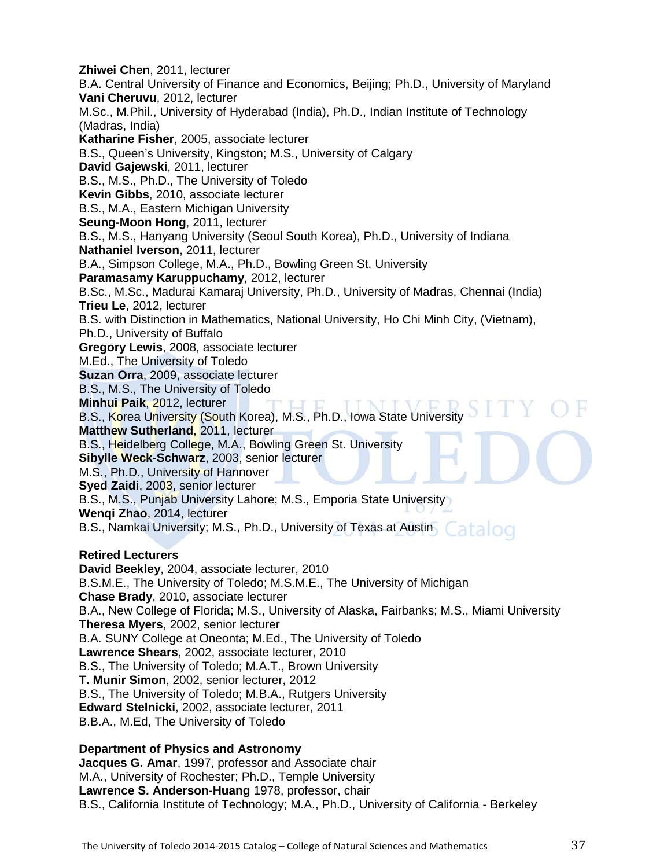**Zhiwei Chen**, 2011, lecturer B.A. Central University of Finance and Economics, Beijing; Ph.D., University of Maryland **Vani Cheruvu**, 2012, lecturer M.Sc., M.Phil., University of Hyderabad (India), Ph.D., Indian Institute of Technology (Madras, India) **Katharine Fisher**, 2005, associate lecturer B.S., Queen's University, Kingston; M.S., University of Calgary **David Gajewski**, 2011, lecturer B.S., M.S., Ph.D., The University of Toledo **Kevin Gibbs**, 2010, associate lecturer B.S., M.A., Eastern Michigan University **Seung-Moon Hong**, 2011, lecturer B.S., M.S., Hanyang University (Seoul South Korea), Ph.D., University of Indiana **Nathaniel Iverson**, 2011, lecturer B.A., Simpson College, M.A., Ph.D., Bowling Green St. University **Paramasamy Karuppuchamy**, 2012, lecturer B.Sc., M.Sc., Madurai Kamaraj University, Ph.D., University of Madras, Chennai (India) **Trieu Le**, 2012, lecturer B.S. with Distinction in Mathematics, National University, Ho Chi Minh City, (Vietnam), Ph.D., University of Buffalo **Gregory Lewis**, 2008, associate lecturer M.Ed., The University of Toledo **Suzan Orra**, 2009, associate lecturer B.S., M.S., The University of Toledo **Minhui Paik**, 2012, lecturer B.S., Korea University (South Korea), M.S., Ph.D., Iowa State University **Matthew Sutherland**, 2011, lecturer B.S., Heidelberg College, M.A., Bowling Green St. University **Sibylle Weck-Schwarz**, 2003, senior lecturer M.S., Ph.D., University of Hannover **Syed Zaidi**, 2003, senior lecturer B.S., M.S., Punjab University Lahore; M.S., Emporia State University **Wenqi Zhao**, 2014, lecturer B.S., Namkai University; M.S., Ph.D., University of Texas at Austin Catalog **Retired Lecturers David Beekley**, 2004, associate lecturer, 2010 B.S.M.E., The University of Toledo; M.S.M.E., The University of Michigan **Chase Brady**, 2010, associate lecturer B.A., New College of Florida; M.S., University of Alaska, Fairbanks; M.S., Miami University **Theresa Myers**, 2002, senior lecturer B.A. SUNY College at Oneonta; M.Ed., The University of Toledo **Lawrence Shears**, 2002, associate lecturer, 2010 B.S., The University of Toledo; M.A.T., Brown University **T. Munir Simon**, 2002, senior lecturer, 2012 B.S., The University of Toledo; M.B.A., Rutgers University **Edward Stelnicki**, 2002, associate lecturer, 2011 B.B.A., M.Ed, The University of Toledo

#### **Department of Physics and Astronomy**

**Jacques G. Amar**, 1997, professor and Associate chair M.A., University of Rochester; Ph.D., Temple University **Lawrence S. Anderson**-**Huang** 1978, professor, chair B.S., California Institute of Technology; M.A., Ph.D., University of California - Berkeley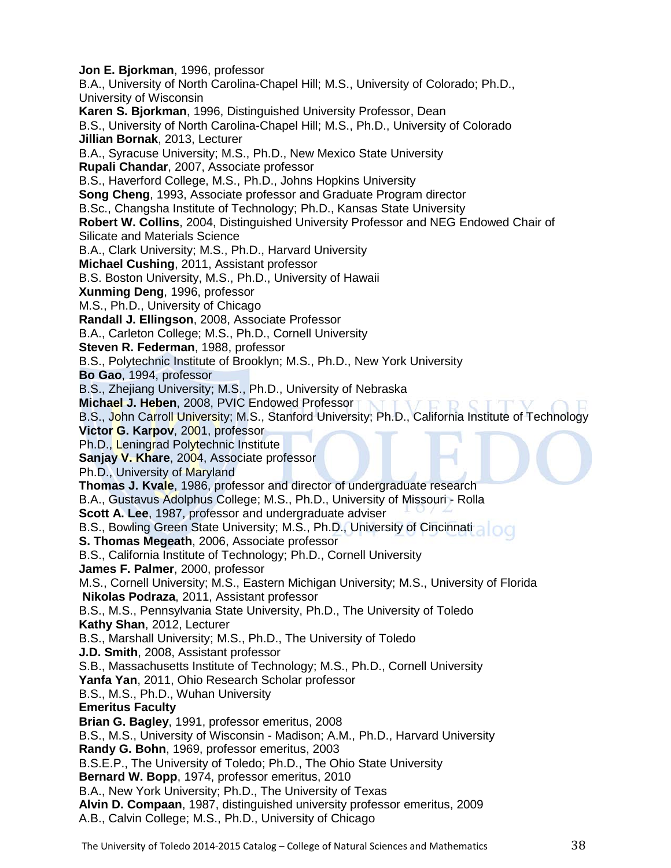**Jon E. Bjorkman**, 1996, professor B.A., University of North Carolina-Chapel Hill; M.S., University of Colorado; Ph.D., University of Wisconsin **Karen S. Bjorkman**, 1996, Distinguished University Professor, Dean B.S., University of North Carolina-Chapel Hill; M.S., Ph.D., University of Colorado **Jillian Bornak**, 2013, Lecturer B.A., Syracuse University; M.S., Ph.D., New Mexico State University **Rupali Chandar**, 2007, Associate professor B.S., Haverford College, M.S., Ph.D., Johns Hopkins University **Song Cheng**, 1993, Associate professor and Graduate Program director B.Sc., Changsha Institute of Technology; Ph.D., Kansas State University **Robert W. Collins**, 2004, Distinguished University Professor and NEG Endowed Chair of Silicate and Materials Science B.A., Clark University; M.S., Ph.D., Harvard University **Michael Cushing**, 2011, Assistant professor B.S. Boston University, M.S., Ph.D., University of Hawaii **Xunming Deng**, 1996, professor M.S., Ph.D., University of Chicago **Randall J. Ellingson**, 2008, Associate Professor B.A., Carleton College; M.S., Ph.D., Cornell University **Steven R. Federman**, 1988, professor B.S., Polytechnic Institute of Brooklyn; M.S., Ph.D., New York University **Bo Gao**, 1994, professor B.S., Zhejiang University; M.S., Ph.D., University of Nebraska **Michael J. Heben**, 2008, PVIC Endowed Professor B.S., John Carroll University; M.S., Stanford University; Ph.D., California Institute of Technology **Victor G. Karpov**, 2001, professor Ph.D., Leningrad Polytechnic Institute **Sanjay V. Khare**, 2004, Associate professor Ph.D., University of Maryland **Thomas J. Kvale**, 1986, professor and director of undergraduate research B.A., Gustavus Adolphus College; M.S., Ph.D., University of Missouri - Rolla **Scott A. Lee**, 1987, professor and undergraduate adviser B.S., Bowling Green State University; M.S., Ph.D., University of Cincinnati **S. Thomas Megeath**, 2006, Associate professor B.S., California Institute of Technology; Ph.D., Cornell University **James F. Palmer**, 2000, professor M.S., Cornell University; M.S., Eastern Michigan University; M.S., University of Florida **Nikolas Podraza**, 2011, Assistant professor B.S., M.S., Pennsylvania State University, Ph.D., The University of Toledo **Kathy Shan**, 2012, Lecturer B.S., Marshall University; M.S., Ph.D., The University of Toledo **J.D. Smith**, 2008, Assistant professor S.B., Massachusetts Institute of Technology; M.S., Ph.D., Cornell University **Yanfa Yan**, 2011, Ohio Research Scholar professor B.S., M.S., Ph.D., Wuhan University **Emeritus Faculty Brian G. Bagley**, 1991, professor emeritus, 2008 B.S., M.S., University of Wisconsin - Madison; A.M., Ph.D., Harvard University **Randy G. Bohn**, 1969, professor emeritus, 2003 B.S.E.P., The University of Toledo; Ph.D., The Ohio State University **Bernard W. Bopp**, 1974, professor emeritus, 2010 B.A., New York University; Ph.D., The University of Texas **Alvin D. Compaan**, 1987, distinguished university professor emeritus, 2009 A.B., Calvin College; M.S., Ph.D., University of Chicago